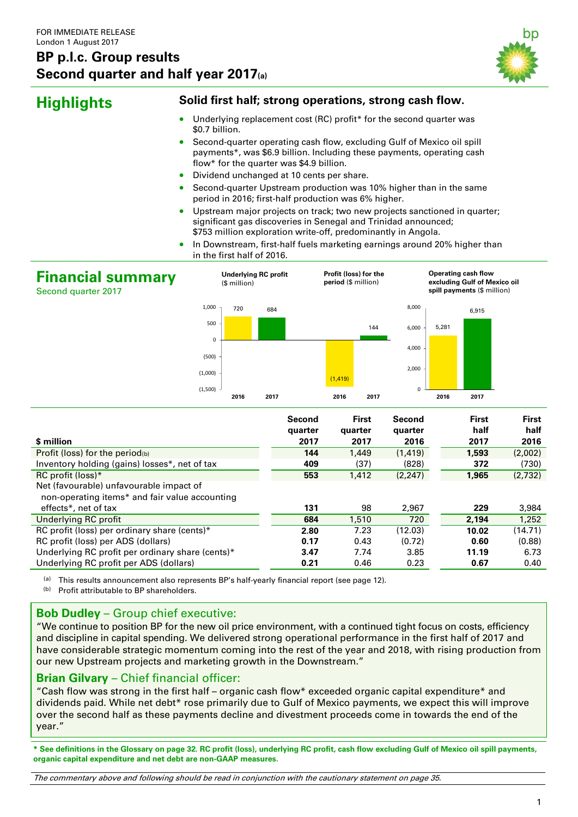

### **Highlights Solid first half; strong operations, strong cash flow.**

- Underlying replacement cost (RC) profit\* for the second quarter was \$0.7 billion.
- Second-quarter operating cash flow, excluding Gulf of Mexico oil spill payments\*, was \$6.9 billion. Including these payments, operating cash flow\* for the quarter was \$4.9 billion.
- Dividend unchanged at 10 cents per share.
- Second-quarter Upstream production was 10% higher than in the same period in 2016; first-half production was 6% higher.
- Upstream major projects on track; two new projects sanctioned in quarter; significant gas discoveries in Senegal and Trinidad announced; \$753 million exploration write-off, predominantly in Angola.
- In Downstream, first-half fuels marketing earnings around 20% higher than in the first half of 2016.



|                                                            | Second  | <b>First</b> | Second   | <b>First</b> | <b>First</b> |
|------------------------------------------------------------|---------|--------------|----------|--------------|--------------|
|                                                            | quarter | quarter      | quarter  | half         | half         |
| \$ million                                                 | 2017    | 2017         | 2016     | 2017         | 2016         |
| Profit (loss) for the period(b)                            | 144     | 1.449        | (1, 419) | 1,593        | (2,002)      |
| Inventory holding (gains) losses <sup>*</sup> , net of tax | 409     | (37)         | (828)    | 372          | (730)        |
| $RC$ profit (loss)*                                        | 553     | 1.412        | (2, 247) | 1,965        | (2,732)      |
| Net (favourable) unfavourable impact of                    |         |              |          |              |              |
| non-operating items* and fair value accounting             |         |              |          |              |              |
| effects*, net of tax                                       | 131     | 98           | 2,967    | 229          | 3,984        |
| Underlying RC profit                                       | 684     | 1.510        | 720      | 2,194        | 1,252        |
| RC profit (loss) per ordinary share (cents)*               | 2.80    | 7.23         | (12.03)  | 10.02        | (14.71)      |
| RC profit (loss) per ADS (dollars)                         | 0.17    | 0.43         | (0.72)   | 0.60         | (0.88)       |
| Underlying RC profit per ordinary share (cents)*           | 3.47    | 7.74         | 3.85     | 11.19        | 6.73         |
| Underlying RC profit per ADS (dollars)                     | 0.21    | 0.46         | 0.23     | 0.67         | 0.40         |
|                                                            |         |              |          |              |              |

 $(a)$  This results announcement also represents BP's half-yearly financial report (see page 12).

(b) Profit attributable to BP shareholders.

### **Bob Dudley** – Group chief executive:

"We continue to position BP for the new oil price environment, with a continued tight focus on costs, efficiency and discipline in capital spending. We delivered strong operational performance in the first half of 2017 and have considerable strategic momentum coming into the rest of the year and 2018, with rising production from our new Upstream projects and marketing growth in the Downstream."

### **Brian Gilvary** – Chief financial officer:

"Cash flow was strong in the first half – organic cash flow\* exceeded organic capital expenditure\* and dividends paid. While net debt\* rose primarily due to Gulf of Mexico payments, we expect this will improve over the second half as these payments decline and divestment proceeds come in towards the end of the year."

**\* See definitions in the Glossary on page 32. RC profit (loss), underlying RC profit, cash flow excluding Gulf of Mexico oil spill payments, organic capital expenditure and net debt are non-GAAP measures.**

The commentary above and following should be read in conjunction with the cautionary statement on page 35.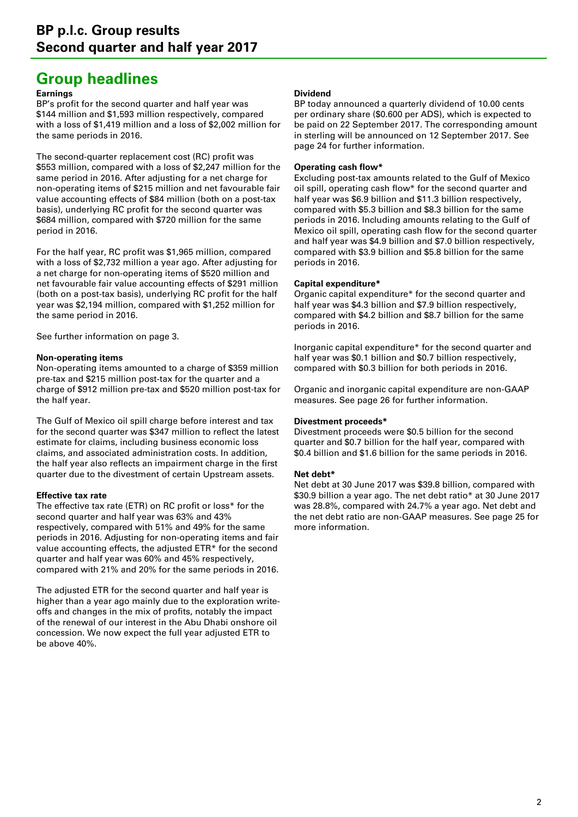## **Group headlines**

### **Earnings**

BP's profit for the second quarter and half year was \$144 million and \$1,593 million respectively, compared with a loss of \$1,419 million and a loss of \$2,002 million for the same periods in 2016.

The second-quarter replacement cost (RC) profit was \$553 million, compared with a loss of \$2,247 million for the same period in 2016. After adjusting for a net charge for non-operating items of \$215 million and net favourable fair value accounting effects of \$84 million (both on a post-tax basis), underlying RC profit for the second quarter was \$684 million, compared with \$720 million for the same period in 2016.

For the half year, RC profit was \$1,965 million, compared with a loss of \$2,732 million a year ago. After adjusting for a net charge for non-operating items of \$520 million and net favourable fair value accounting effects of \$291 million (both on a post-tax basis), underlying RC profit for the half year was \$2,194 million, compared with \$1,252 million for the same period in 2016.

See further information on page 3.

### **Non-operating items**

Non-operating items amounted to a charge of \$359 million pre-tax and \$215 million post-tax for the quarter and a charge of \$912 million pre-tax and \$520 million post-tax for the half year.

The Gulf of Mexico oil spill charge before interest and tax for the second quarter was \$347 million to reflect the latest estimate for claims, including business economic loss claims, and associated administration costs. In addition, the half year also reflects an impairment charge in the first quarter due to the divestment of certain Upstream assets.

### **Effective tax rate**

The effective tax rate (ETR) on RC profit or loss\* for the second quarter and half year was 63% and 43% respectively, compared with 51% and 49% for the same periods in 2016. Adjusting for non-operating items and fair value accounting effects, the adjusted ETR\* for the second quarter and half year was 60% and 45% respectively, compared with 21% and 20% for the same periods in 2016.

The adjusted ETR for the second quarter and half year is higher than a year ago mainly due to the exploration writeoffs and changes in the mix of profits, notably the impact of the renewal of our interest in the Abu Dhabi onshore oil concession. We now expect the full year adjusted ETR to be above 40%.

### **Dividend**

BP today announced a quarterly dividend of 10.00 cents per ordinary share (\$0.600 per ADS), which is expected to be paid on 22 September 2017. The corresponding amount in sterling will be announced on 12 September 2017. See page 24 for further information.

#### **Operating cash flow\***

Excluding post-tax amounts related to the Gulf of Mexico oil spill, operating cash flow\* for the second quarter and half year was \$6.9 billion and \$11.3 billion respectively. compared with \$5.3 billion and \$8.3 billion for the same periods in 2016. Including amounts relating to the Gulf of Mexico oil spill, operating cash flow for the second quarter and half year was \$4.9 billion and \$7.0 billion respectively, compared with \$3.9 billion and \$5.8 billion for the same periods in 2016.

### **Capital expenditure\***

Organic capital expenditure\* for the second quarter and half year was \$4.3 billion and \$7.9 billion respectively, compared with \$4.2 billion and \$8.7 billion for the same periods in 2016.

Inorganic capital expenditure\* for the second quarter and half year was \$0.1 billion and \$0.7 billion respectively, compared with \$0.3 billion for both periods in 2016.

Organic and inorganic capital expenditure are non-GAAP measures. See page 26 for further information.

### **Divestment proceeds\***

Divestment proceeds were \$0.5 billion for the second quarter and \$0.7 billion for the half year, compared with \$0.4 billion and \$1.6 billion for the same periods in 2016.

### **Net debt\***

Net debt at 30 June 2017 was \$39.8 billion, compared with \$30.9 billion a year ago. The net debt ratio\* at 30 June 2017 was 28.8%, compared with 24.7% a year ago. Net debt and the net debt ratio are non-GAAP measures. See page 25 for more information.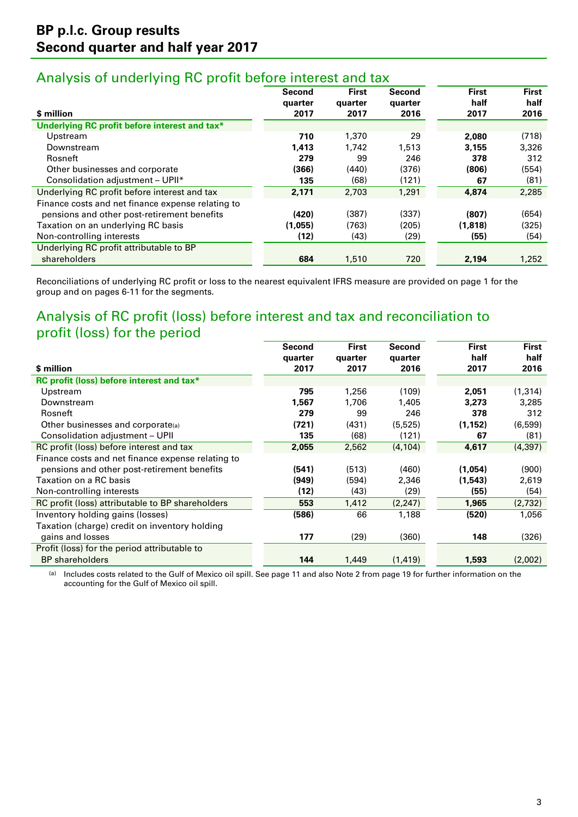## Analysis of underlying RC profit before interest and tax

|                                                   | Second<br>quarter | <b>First</b><br>quarter | Second<br>quarter | <b>First</b><br>half | <b>First</b><br>half |
|---------------------------------------------------|-------------------|-------------------------|-------------------|----------------------|----------------------|
| \$ million                                        | 2017              | 2017                    | 2016              | 2017                 | 2016                 |
| Underlying RC profit before interest and tax*     |                   |                         |                   |                      |                      |
| Upstream                                          | 710               | 1,370                   | 29                | 2,080                | (718)                |
| Downstream                                        | 1,413             | 1,742                   | 1,513             | 3,155                | 3,326                |
| Rosneft                                           | 279               | 99                      | 246               | 378                  | 312                  |
| Other businesses and corporate                    | (366)             | (440)                   | (376)             | (806)                | (554)                |
| Consolidation adjustment - UPII*                  | 135               | (68)                    | (121)             | 67                   | (81)                 |
| Underlying RC profit before interest and tax      | 2,171             | 2,703                   | 1,291             | 4,874                | 2.285                |
| Finance costs and net finance expense relating to |                   |                         |                   |                      |                      |
| pensions and other post-retirement benefits       | (420)             | (387)                   | (337)             | (807)                | (654)                |
| Taxation on an underlying RC basis                | (1,055)           | (763)                   | (205)             | (1,818)              | (325)                |
| Non-controlling interests                         | (12)              | (43)                    | (29)              | (55)                 | (54)                 |
| Underlying RC profit attributable to BP           |                   |                         |                   |                      |                      |
| shareholders                                      | 684               | 1,510                   | 720               | 2.194                | 1,252                |

Reconciliations of underlying RC profit or loss to the nearest equivalent IFRS measure are provided on page 1 for the group and on pages 6-11 for the segments.

## Analysis of RC profit (loss) before interest and tax and reconciliation to profit (loss) for the period

| Second  | <b>First</b> | Second   | <b>First</b> | <b>First</b> |
|---------|--------------|----------|--------------|--------------|
| quarter | quarter      | quarter  | half         | half         |
|         | 2017         | 2016     | 2017         | 2016         |
|         |              |          |              |              |
| 795     | 1,256        | (109)    | 2,051        | (1, 314)     |
| 1,567   | 1,706        | 1,405    | 3,273        | 3,285        |
| 279     | 99           | 246      | 378          | 312          |
| (721)   | (431)        | (5, 525) | (1, 152)     | (6, 599)     |
| 135     | (68)         | (121)    | 67           | (81)         |
| 2,055   | 2,562        | (4, 104) | 4,617        | (4, 397)     |
|         |              |          |              |              |
| (541)   | (513)        | (460)    | (1,054)      | (900)        |
| (949)   | (594)        | 2,346    | (1,543)      | 2,619        |
| (12)    | (43)         | (29)     | (55)         | (54)         |
| 553     | 1,412        | (2, 247) | 1,965        | (2,732)      |
| (586)   | 66           | 1,188    | (520)        | 1,056        |
|         |              |          |              |              |
| 177     | (29)         | (360)    | 148          | (326)        |
|         |              |          |              |              |
| 144     | 1,449        | (1, 419) | 1,593        | (2,002)      |
|         | 2017         |          |              |              |

(a) Includes costs related to the Gulf of Mexico oil spill. See page 11 and also Note 2 from page 19 for further information on the accounting for the Gulf of Mexico oil spill.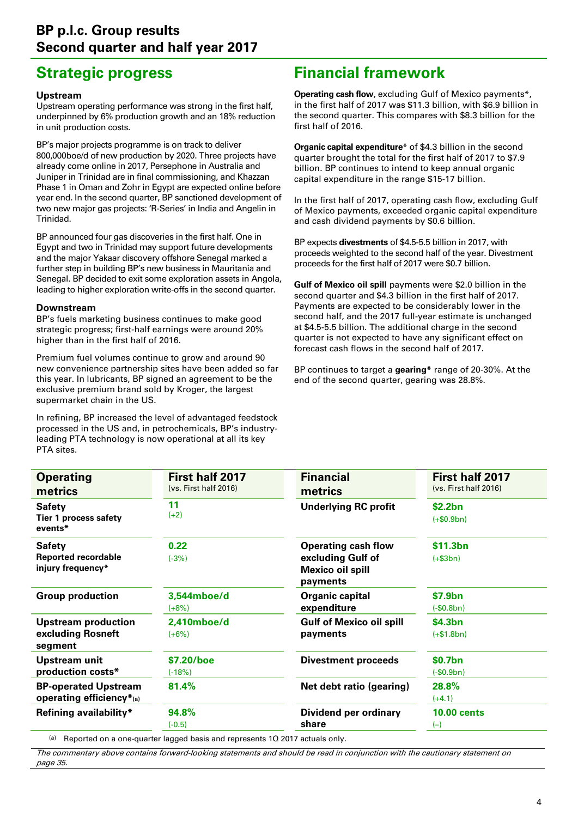## **Strategic progress**

### **Upstream**

Upstream operating performance was strong in the first half, underpinned by 6% production growth and an 18% reduction in unit production costs.

BP's major projects programme is on track to deliver 800,000boe/d of new production by 2020. Three projects have already come online in 2017, Persephone in Australia and Juniper in Trinidad are in final commissioning, and Khazzan Phase 1 in Oman and Zohr in Egypt are expected online before year end. In the second quarter, BP sanctioned development of two new major gas projects: 'R-Series' in India and Angelin in Trinidad.

BP announced four gas discoveries in the first half. One in Egypt and two in Trinidad may support future developments and the major Yakaar discovery offshore Senegal marked a further step in building BP's new business in Mauritania and Senegal. BP decided to exit some exploration assets in Angola, leading to higher exploration write-offs in the second quarter.

### **Downstream**

BP's fuels marketing business continues to make good strategic progress; first-half earnings were around 20% higher than in the first half of 2016.

Premium fuel volumes continue to grow and around 90 new convenience partnership sites have been added so far this year. In lubricants, BP signed an agreement to be the exclusive premium brand sold by Kroger, the largest supermarket chain in the US.

In refining, BP increased the level of advantaged feedstock processed in the US and, in petrochemicals, BP's industryleading PTA technology is now operational at all its key PTA sites.

# **Financial framework**

**Operating cash flow**, excluding Gulf of Mexico payments\*, in the first half of 2017 was \$11.3 billion, with \$6.9 billion in the second quarter. This compares with \$8.3 billion for the first half of 2016.

**Organic capital expenditure**<sup>\*</sup> of \$4.3 billion in the second quarter brought the total for the first half of 2017 to \$7.9 billion. BP continues to intend to keep annual organic capital expenditure in the range \$15-17 billion.

In the first half of 2017, operating cash flow, excluding Gulf of Mexico payments, exceeded organic capital expenditure and cash dividend payments by \$0.6 billion.

BP expects **divestments** of \$4.5-5.5 billion in 2017, with proceeds weighted to the second half of the year. Divestment proceeds for the first half of 2017 were \$0.7 billion.

**Gulf of Mexico oil spill** payments were \$2.0 billion in the second quarter and \$4.3 billion in the first half of 2017. Payments are expected to be considerably lower in the second half, and the 2017 full-year estimate is unchanged at \$4.5-5.5 billion. The additional charge in the second quarter is not expected to have any significant effect on forecast cash flows in the second half of 2017.

BP continues to target a **gearing\*** range of 20-30%. At the end of the second quarter, gearing was 28.8%.

| 11<br><b>Underlying RC profit</b><br>\$2.2bn<br><b>Safety</b><br>$(+2)$<br><b>Tier 1 process safety</b><br>$(+\$0.9bn)$<br>events*<br>0.22<br>\$11.3 <sub>bn</sub><br><b>Safety</b><br><b>Operating cash flow</b><br><b>Reported recordable</b><br>excluding Gulf of<br>$(-3%)$<br>$(+\$3bn)$<br>injury frequency*<br>Mexico oil spill<br>payments<br>\$7.9bn<br>3,544mboe/d<br>Organic capital<br><b>Group production</b><br>expenditure<br>(-\$0.8bn)<br>$(+8%)$<br>\$4.3bn<br><b>Upstream production</b><br>2,410mboe/d<br><b>Gulf of Mexico oil spill</b><br>excluding Rosneft<br>$(+6%)$<br>payments<br>$(+\$1.8bn)$<br>segment<br>\$7.20/boe<br>\$0.7bn<br>Upstream unit<br><b>Divestment proceeds</b><br>production costs*<br>(-\$0.9bn)<br>$(-18%)$<br>81.4%<br>28.8%<br><b>BP-operated Upstream</b><br>Net debt ratio (gearing)<br><b>operating efficiency*(a)</b><br>$(+4.1)$<br>94.8%<br>Refining availability*<br>Dividend per ordinary<br><b>10.00 cents</b> | <b>Operating</b><br>metrics | <b>First half 2017</b><br>(vs. First half 2016) | <b>Financial</b><br>metrics | <b>First half 2017</b><br>(vs. First half 2016) |
|---------------------------------------------------------------------------------------------------------------------------------------------------------------------------------------------------------------------------------------------------------------------------------------------------------------------------------------------------------------------------------------------------------------------------------------------------------------------------------------------------------------------------------------------------------------------------------------------------------------------------------------------------------------------------------------------------------------------------------------------------------------------------------------------------------------------------------------------------------------------------------------------------------------------------------------------------------------------------|-----------------------------|-------------------------------------------------|-----------------------------|-------------------------------------------------|
|                                                                                                                                                                                                                                                                                                                                                                                                                                                                                                                                                                                                                                                                                                                                                                                                                                                                                                                                                                           |                             |                                                 |                             |                                                 |
|                                                                                                                                                                                                                                                                                                                                                                                                                                                                                                                                                                                                                                                                                                                                                                                                                                                                                                                                                                           |                             |                                                 |                             |                                                 |
|                                                                                                                                                                                                                                                                                                                                                                                                                                                                                                                                                                                                                                                                                                                                                                                                                                                                                                                                                                           |                             |                                                 |                             |                                                 |
|                                                                                                                                                                                                                                                                                                                                                                                                                                                                                                                                                                                                                                                                                                                                                                                                                                                                                                                                                                           |                             |                                                 |                             |                                                 |
|                                                                                                                                                                                                                                                                                                                                                                                                                                                                                                                                                                                                                                                                                                                                                                                                                                                                                                                                                                           |                             |                                                 |                             |                                                 |
|                                                                                                                                                                                                                                                                                                                                                                                                                                                                                                                                                                                                                                                                                                                                                                                                                                                                                                                                                                           |                             |                                                 |                             |                                                 |
|                                                                                                                                                                                                                                                                                                                                                                                                                                                                                                                                                                                                                                                                                                                                                                                                                                                                                                                                                                           |                             | $(-0.5)$                                        | share                       | $(-)$                                           |

 $(a)$  Reported on a one-quarter lagged basis and represents 1Q 2017 actuals only.

The commentary above contains forward-looking statements and should be read in conjunction with the cautionary statement on page 35.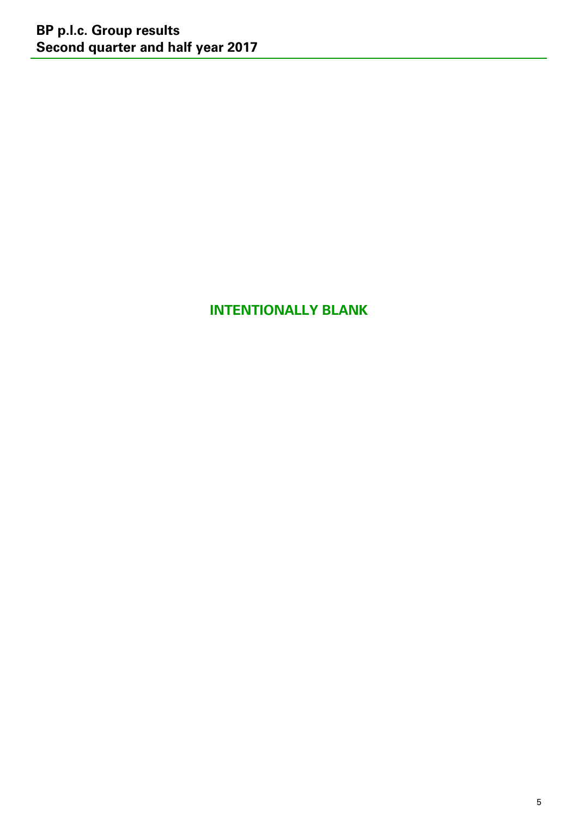## **INTENTIONALLY BLANK**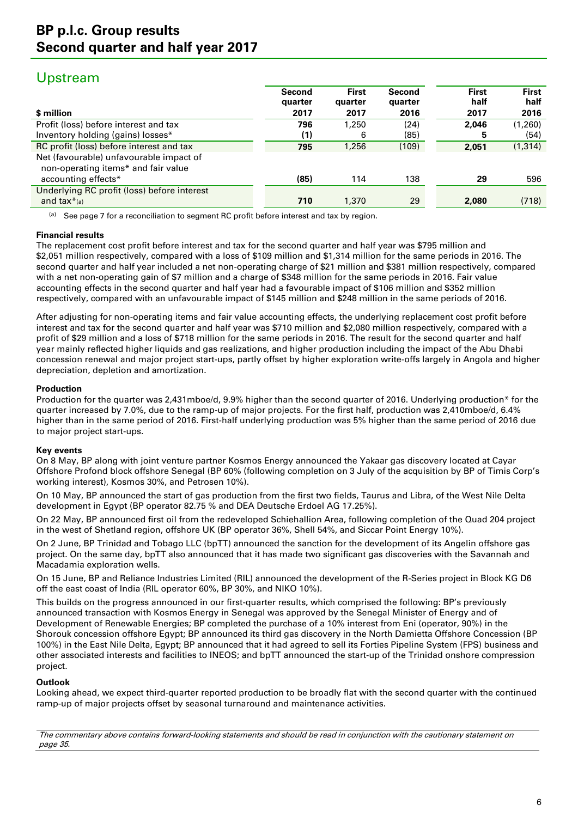## Upstream

|                                                                                | Second<br>quarter | <b>First</b><br>quarter | Second<br>quarter | <b>First</b><br>half | <b>First</b><br>half |
|--------------------------------------------------------------------------------|-------------------|-------------------------|-------------------|----------------------|----------------------|
| \$ million                                                                     | 2017              | 2017                    | 2016              | 2017                 | 2016                 |
| Profit (loss) before interest and tax                                          | 796               | 1,250                   | (24)              | 2.046                | (1,260)              |
| Inventory holding (gains) losses*                                              | (1)               | 6                       | (85)              | 5                    | (54)                 |
| RC profit (loss) before interest and tax                                       | 795               | 1,256                   | (109)             | 2,051                | (1, 314)             |
| Net (favourable) unfavourable impact of<br>non-operating items* and fair value |                   |                         |                   |                      |                      |
| accounting effects*                                                            | (85)              | 114                     | 138               | 29                   | 596                  |
| Underlying RC profit (loss) before interest<br>and $\text{tax*}_{(a)}$         | 710               | 1,370                   | 29                | 2,080                | (718)                |
|                                                                                |                   |                         |                   |                      |                      |

 $(a)$  See page 7 for a reconciliation to segment RC profit before interest and tax by region.

### **Financial results**

The replacement cost profit before interest and tax for the second quarter and half year was \$795 million and \$2,051 million respectively, compared with a loss of \$109 million and \$1,314 million for the same periods in 2016. The second quarter and half year included a net non-operating charge of \$21 million and \$381 million respectively, compared with a net non-operating gain of \$7 million and a charge of \$348 million for the same periods in 2016. Fair value accounting effects in the second quarter and half year had a favourable impact of \$106 million and \$352 million respectively, compared with an unfavourable impact of \$145 million and \$248 million in the same periods of 2016.

After adjusting for non-operating items and fair value accounting effects, the underlying replacement cost profit before interest and tax for the second quarter and half year was \$710 million and \$2,080 million respectively, compared with a profit of \$29 million and a loss of \$718 million for the same periods in 2016. The result for the second quarter and half year mainly reflected higher liquids and gas realizations, and higher production including the impact of the Abu Dhabi concession renewal and major project start-ups, partly offset by higher exploration write-offs largely in Angola and higher depreciation, depletion and amortization.

### **Production**

Production for the quarter was 2.431mboe/d, 9.9% higher than the second quarter of 2016. Underlying production\* for the quarter increased by 7.0%, due to the ramp-up of major projects. For the first half, production was 2,410mboe/d, 6.4% higher than in the same period of 2016. First-half underlying production was 5% higher than the same period of 2016 due to major project start-ups.

### **Key events**

On 8 May, BP along with joint venture partner Kosmos Energy announced the Yakaar gas discovery located at Cayar Offshore Profond block offshore Senegal (BP 60% (following completion on 3 July of the acquisition by BP of Timis Corp's working interest), Kosmos 30%, and Petrosen 10%).

On 10 May, BP announced the start of gas production from the first two fields, Taurus and Libra, of the West Nile Delta development in Egypt (BP operator 82.75 % and DEA Deutsche Erdoel AG 17.25%).

On 22 May, BP announced first oil from the redeveloped Schiehallion Area, following completion of the Quad 204 project in the west of Shetland region, offshore UK (BP operator 36%, Shell 54%, and Siccar Point Energy 10%).

On 2 June, BP Trinidad and Tobago LLC (bpTT) announced the sanction for the development of its Angelin offshore gas project. On the same day, bpTT also announced that it has made two significant gas discoveries with the Savannah and Macadamia exploration wells.

On 15 June, BP and Reliance Industries Limited (RIL) announced the development of the R-Series project in Block KG D6 off the east coast of India (RIL operator 60%, BP 30%, and NIKO 10%).

This builds on the progress announced in our first-quarter results, which comprised the following: BP's previously announced transaction with Kosmos Energy in Senegal was approved by the Senegal Minister of Energy and of Development of Renewable Energies; BP completed the purchase of a 10% interest from Eni (operator, 90%) in the Shorouk concession offshore Egypt; BP announced its third gas discovery in the North Damietta Offshore Concession (BP 100%) in the East Nile Delta, Egypt; BP announced that it had agreed to sell its Forties Pipeline System (FPS) business and other associated interests and facilities to INEOS; and bpTT announced the start-up of the Trinidad onshore compression project.

### **Outlook**

Looking ahead, we expect third-quarter reported production to be broadly flat with the second quarter with the continued ramp-up of major projects offset by seasonal turnaround and maintenance activities.

The commentary above contains forward-looking statements and should be read in conjunction with the cautionary statement on page 35.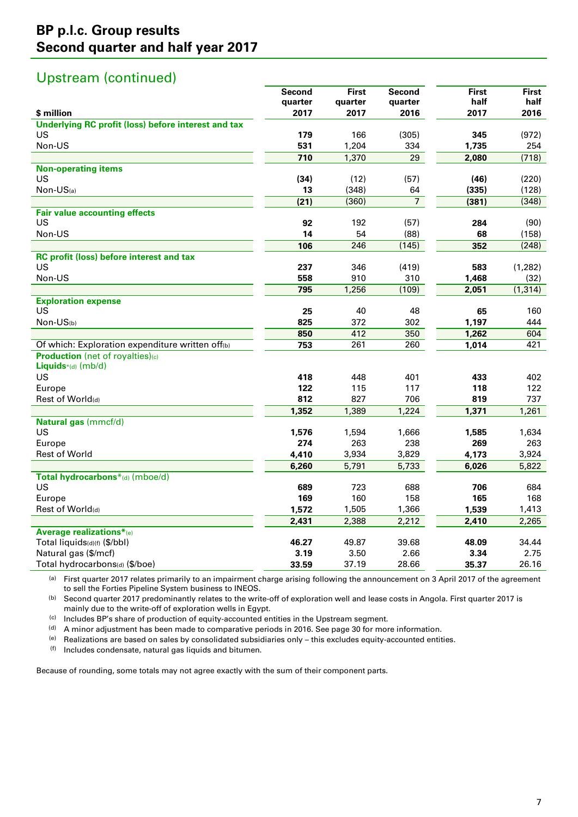### Upstream (continued)

|                                                            | Second  | <b>First</b> | <b>Second</b>  | <b>First</b> | <b>First</b> |
|------------------------------------------------------------|---------|--------------|----------------|--------------|--------------|
|                                                            | quarter | quarter      | quarter        | half         | half         |
| \$ million                                                 | 2017    | 2017         | 2016           | 2017         | 2016         |
| <b>Underlying RC profit (loss) before interest and tax</b> |         |              |                |              |              |
| US                                                         | 179     | 166          | (305)          | 345          | (972)        |
| Non-US                                                     | 531     | 1,204        | 334            | 1,735        | 254          |
|                                                            | 710     | 1,370        | 29             | 2,080        | (718)        |
| <b>Non-operating items</b>                                 |         |              |                |              |              |
| US                                                         | (34)    | (12)         | (57)           | (46)         | (220)        |
| $Non-US(a)$                                                | 13      | (348)        | 64             | (335)        | (128)        |
|                                                            | (21)    | (360)        | $\overline{7}$ | (381)        | (348)        |
| <b>Fair value accounting effects</b>                       |         |              |                |              |              |
| US                                                         | 92      | 192          | (57)           | 284          | (90)         |
| Non-US                                                     | 14      | 54           | (88)           | 68           | (158)        |
|                                                            | 106     | 246          | (145)          | 352          | (248)        |
| <b>RC profit (loss) before interest and tax</b>            |         |              |                |              |              |
| US                                                         | 237     | 346          | (419)          | 583          | (1, 282)     |
| Non-US                                                     | 558     | 910          | 310            | 1,468        | (32)         |
|                                                            | 795     | 1,256        | (109)          | 2,051        | (1, 314)     |
| <b>Exploration expense</b>                                 |         |              |                |              |              |
| US                                                         | 25      | 40           | 48             | 65           | 160          |
| $Non-US(b)$                                                | 825     | 372          | 302            | 1,197        | 444          |
|                                                            | 850     | 412          | 350            | 1,262        | 604          |
| Of which: Exploration expenditure written off(b)           | 753     | 261          | 260            | 1,014        | 421          |
| Production (net of royalties)(c)                           |         |              |                |              |              |
| Liquids*(d) (mb/d)                                         |         |              |                |              |              |
| US                                                         | 418     | 448          | 401            | 433          | 402          |
| Europe                                                     | 122     | 115          | 117            | 118          | 122          |
| Rest of World(d)                                           | 812     | 827          | 706            | 819          | 737          |
|                                                            | 1,352   | 1,389        | 1,224          | 1,371        | 1,261        |
| Natural gas (mmcf/d)                                       |         |              |                |              |              |
| US                                                         | 1,576   | 1,594        | 1,666          | 1,585        | 1,634        |
| Europe                                                     | 274     | 263          | 238            | 269          | 263          |
| <b>Rest of World</b>                                       | 4,410   | 3,934        | 3,829          | 4,173        | 3,924        |
|                                                            | 6,260   | 5,791        | 5,733          | 6,026        | 5,822        |
| Total hydrocarbons*(d) (mboe/d)                            |         |              |                |              |              |
| US                                                         | 689     | 723          | 688            | 706          | 684          |
| Europe                                                     | 169     | 160          | 158            | 165          | 168          |
| Rest of World(d)                                           | 1,572   | 1,505        | 1,366          | 1,539        | 1,413        |
|                                                            | 2,431   | 2,388        | 2,212          | 2,410        | 2,265        |
| <b>Average realizations*(e)</b>                            |         |              |                |              |              |
| Total liquids(d)(f) (\$/bbl)                               | 46.27   | 49.87        | 39.68          | 48.09        | 34.44        |
| Natural gas (\$/mcf)                                       | 3.19    | 3.50         | 2.66           | 3.34         | 2.75         |
| Total hydrocarbons(d) (\$/boe)                             | 33.59   | 37.19        | 28.66          | 35.37        | 26.16        |

(a) First quarter 2017 relates primarily to an impairment charge arising following the announcement on 3 April 2017 of the agreement to sell the Forties Pipeline System business to INEOS.

(b) Second quarter 2017 predominantly relates to the write-off of exploration well and lease costs in Angola. First quarter 2017 is mainly due to the write-off of exploration wells in Egypt.

 $(c)$  Includes BP's share of production of equity-accounted entities in the Upstream segment.

(d) A minor adjustment has been made to comparative periods in 2016. See page 30 for more information.

 $(e)$  Realizations are based on sales by consolidated subsidiaries only – this excludes equity-accounted entities.

(f) Includes condensate, natural gas liquids and bitumen.

Because of rounding, some totals may not agree exactly with the sum of their component parts.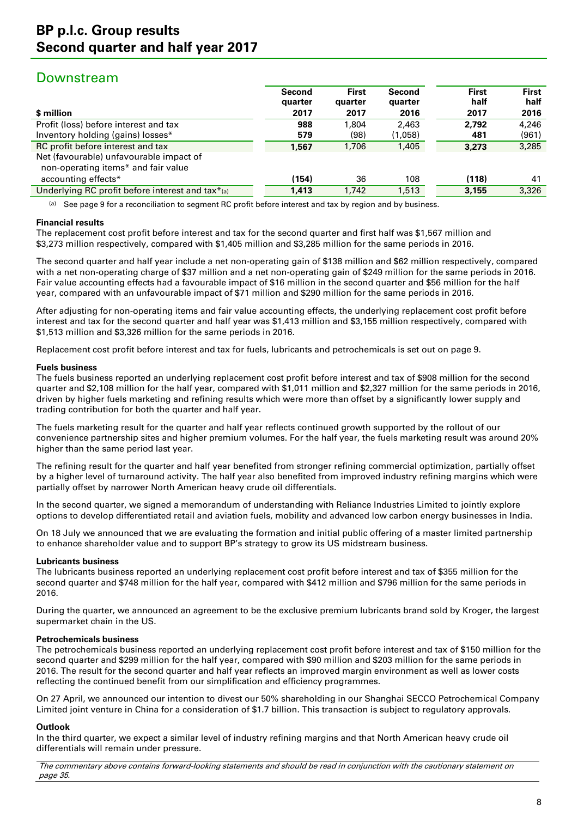### Downstream

|                                                                                                                     | Second          | <b>First</b>    | Second           | First<br>half | <b>First</b><br>half |
|---------------------------------------------------------------------------------------------------------------------|-----------------|-----------------|------------------|---------------|----------------------|
| \$ million                                                                                                          | quarter<br>2017 | quarter<br>2017 | quarter<br>2016  | 2017          | 2016                 |
| Profit (loss) before interest and tax<br>Inventory holding (gains) losses*                                          | 988<br>579      | 1.804<br>(98)   | 2.463<br>(1,058) | 2.792<br>481  | 4.246<br>(961)       |
| RC profit before interest and tax<br>Net (favourable) unfavourable impact of<br>non-operating items* and fair value | 1,567           | 1.706           | 1,405            | 3,273         | 3,285                |
| accounting effects*                                                                                                 | (154)           | 36              | 108              | (118)         | 41                   |
| Underlying RC profit before interest and tax $*_{(a)}$                                                              | 1,413           | 1,742           | 1,513            | 3,155         | 3,326                |

See page 9 for a reconciliation to segment RC profit before interest and tax by region and by business.

### **Financial results**

The replacement cost profit before interest and tax for the second quarter and first half was \$1,567 million and \$3,273 million respectively, compared with \$1,405 million and \$3,285 million for the same periods in 2016.

The second quarter and half year include a net non-operating gain of \$138 million and \$62 million respectively, compared with a net non-operating charge of \$37 million and a net non-operating gain of \$249 million for the same periods in 2016. Fair value accounting effects had a favourable impact of \$16 million in the second quarter and \$56 million for the half year, compared with an unfavourable impact of \$71 million and \$290 million for the same periods in 2016.

After adjusting for non-operating items and fair value accounting effects, the underlying replacement cost profit before interest and tax for the second quarter and half year was \$1,413 million and \$3,155 million respectively, compared with \$1,513 million and \$3,326 million for the same periods in 2016.

Replacement cost profit before interest and tax for fuels, lubricants and petrochemicals is set out on page 9.

#### **Fuels business**

The fuels business reported an underlying replacement cost profit before interest and tax of \$908 million for the second quarter and \$2,108 million for the half year, compared with \$1,011 million and \$2,327 million for the same periods in 2016, driven by higher fuels marketing and refining results which were more than offset by a significantly lower supply and trading contribution for both the quarter and half year.

The fuels marketing result for the quarter and half year reflects continued growth supported by the rollout of our convenience partnership sites and higher premium volumes. For the half year, the fuels marketing result was around 20% higher than the same period last year.

The refining result for the quarter and half year benefited from stronger refining commercial optimization, partially offset by a higher level of turnaround activity. The half year also benefited from improved industry refining margins which were partially offset by narrower North American heavy crude oil differentials.

In the second quarter, we signed a memorandum of understanding with Reliance Industries Limited to jointly explore options to develop differentiated retail and aviation fuels, mobility and advanced low carbon energy businesses in India.

On 18 July we announced that we are evaluating the formation and initial public offering of a master limited partnership to enhance shareholder value and to support BP's strategy to grow its US midstream business.

### **Lubricants business**

The lubricants business reported an underlying replacement cost profit before interest and tax of \$355 million for the second quarter and \$748 million for the half year, compared with \$412 million and \$796 million for the same periods in 2016.

During the quarter, we announced an agreement to be the exclusive premium lubricants brand sold by Kroger, the largest supermarket chain in the US.

#### **Petrochemicals business**

The petrochemicals business reported an underlying replacement cost profit before interest and tax of \$150 million for the second quarter and \$299 million for the half year, compared with \$90 million and \$203 million for the same periods in 2016. The result for the second quarter and half year reflects an improved margin environment as well as lower costs reflecting the continued benefit from our simplification and efficiency programmes.

On 27 April, we announced our intention to divest our 50% shareholding in our Shanghai SECCO Petrochemical Company Limited joint venture in China for a consideration of \$1.7 billion. This transaction is subject to regulatory approvals.

### **Outlook**

In the third quarter, we expect a similar level of industry refining margins and that North American heavy crude oil differentials will remain under pressure.

The commentary above contains forward-looking statements and should be read in conjunction with the cautionary statement on page 35.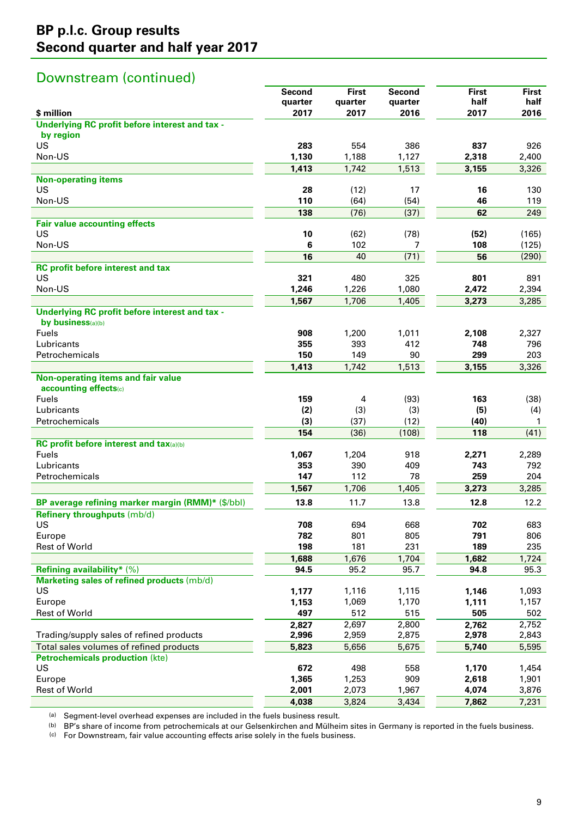## Downstream (continued)

|                                                                          | <b>Second</b>   | <b>First</b>    | Second          | <b>First</b>   | <b>First</b>   |
|--------------------------------------------------------------------------|-----------------|-----------------|-----------------|----------------|----------------|
| \$ million                                                               | quarter<br>2017 | quarter<br>2017 | quarter<br>2016 | half<br>2017   | half<br>2016   |
| Underlying RC profit before interest and tax -                           |                 |                 |                 |                |                |
| by region                                                                |                 |                 |                 |                |                |
| US                                                                       | 283             | 554             | 386             | 837            | 926            |
| Non-US                                                                   | 1,130           | 1,188           | 1,127           | 2,318          | 2,400          |
|                                                                          | 1,413           | 1,742           | 1,513           | 3,155          | 3,326          |
| <b>Non-operating items</b>                                               |                 |                 |                 |                |                |
| US                                                                       | 28              | (12)            | 17              | 16             | 130            |
| Non-US                                                                   | 110             | (64)<br>(76)    | (54)<br>(37)    | 46             | 119<br>249     |
| <b>Fair value accounting effects</b>                                     | 138             |                 |                 | 62             |                |
| US                                                                       | 10              | (62)            | (78)            | (52)           | (165)          |
| Non-US                                                                   | 6               | 102             | 7               | 108            | (125)          |
|                                                                          | 16              | 40              | (71)            | 56             | (290)          |
| <b>RC</b> profit before interest and tax                                 |                 |                 |                 |                |                |
| US                                                                       | 321             | 480             | 325             | 801            | 891            |
| Non-US                                                                   | 1,246           | 1,226           | 1,080           | 2,472          | 2,394          |
|                                                                          | 1,567           | 1,706           | 1,405           | 3,273          | 3,285          |
| Underlying RC profit before interest and tax -<br>by business(a)(b)      |                 |                 |                 |                |                |
| Fuels                                                                    | 908             | 1,200           | 1,011           | 2,108          | 2,327          |
| Lubricants                                                               | 355             | 393             | 412             | 748            | 796            |
| Petrochemicals                                                           | 150             | 149             | 90              | 299            | 203            |
|                                                                          | 1,413           | 1,742           | 1,513           | 3,155          | 3,326          |
| Non-operating items and fair value                                       |                 |                 |                 |                |                |
| accounting effects(c)                                                    |                 |                 |                 |                |                |
| Fuels                                                                    | 159             | 4               | (93)            | 163            | (38)           |
| Lubricants                                                               | (2)             | (3)             | (3)             | (5)            | (4)            |
| Petrochemicals                                                           | (3)<br>154      | (37)<br>(36)    | (12)<br>(108)   | (40)<br>118    | 1              |
| RC profit before interest and tax(a)(b)                                  |                 |                 |                 |                | (41)           |
| <b>Fuels</b>                                                             | 1,067           | 1,204           | 918             | 2,271          | 2,289          |
| Lubricants                                                               | 353             | 390             | 409             | 743            | 792            |
| Petrochemicals                                                           | 147             | 112             | 78              | 259            | 204            |
|                                                                          | 1,567           | 1,706           | 1,405           | 3,273          | 3,285          |
| BP average refining marker margin (RMM)* (\$/bbl)                        | 13.8            | 11.7            | 13.8            | 12.8           | 12.2           |
| <b>Refinery throughputs (mb/d)</b>                                       |                 |                 |                 |                |                |
| US                                                                       | 708             | 694             | 668             | 702            | 683            |
| Europe                                                                   | 782             | 801             | 805             | 791            | 806            |
| <b>Rest of World</b>                                                     | 198             | 181             | 231             | 189            | 235            |
|                                                                          | 1,688           | 1,676           | 1,704           | 1,682          | 1,724          |
| Refining availability* (%)<br>Marketing sales of refined products (mb/d) | 94.5            | 95.2            | 95.7            | 94.8           | 95.3           |
| US                                                                       | 1,177           | 1,116           | 1,115           | 1,146          | 1,093          |
| Europe                                                                   | 1,153           | 1,069           | 1,170           | 1,111          | 1,157          |
| Rest of World                                                            | 497             | 512             | 515             | 505            | 502            |
|                                                                          | 2,827           | 2,697           | 2,800           | 2,762          | 2,752          |
| Trading/supply sales of refined products                                 | 2,996           | 2,959           | 2,875           | 2,978          | 2,843          |
| Total sales volumes of refined products                                  | 5,823           | 5,656           | 5,675           | 5,740          | 5,595          |
| <b>Petrochemicals production (kte)</b>                                   |                 |                 |                 |                |                |
| US                                                                       | 672             | 498             | 558             | 1,170          | 1,454          |
| Europe<br>Rest of World                                                  | 1,365<br>2,001  | 1,253           | 909             | 2,618<br>4,074 | 1,901          |
|                                                                          | 4,038           | 2,073<br>3,824  | 1,967<br>3,434  | 7,862          | 3,876<br>7,231 |
|                                                                          |                 |                 |                 |                |                |

(a) Segment-level overhead expenses are included in the fuels business result.

(b) BP's share of income from petrochemicals at our Gelsenkirchen and Mülheim sites in Germany is reported in the fuels business.

(c) For Downstream, fair value accounting effects arise solely in the fuels business.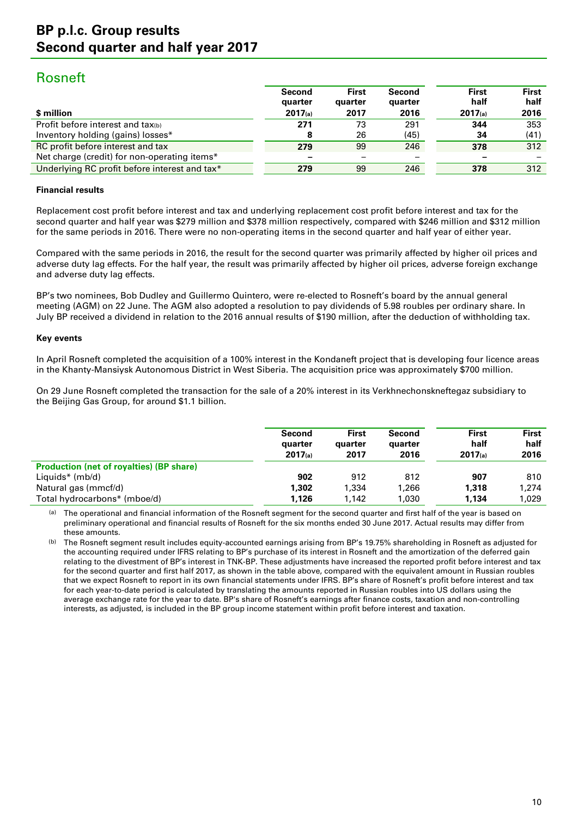## Rosneft

|                                               | Second<br>quarter        | <b>First</b><br>quarter | <b>Second</b><br>quarter | <b>First</b><br>half | <b>First</b><br>half |
|-----------------------------------------------|--------------------------|-------------------------|--------------------------|----------------------|----------------------|
| \$ million                                    | 2017(a)                  | 2017                    | 2016                     | 2017(a)              | 2016                 |
| Profit before interest and tax(b)             | 271                      | 73                      | 291                      | 344                  | 353                  |
| Inventory holding (gains) losses*             | 8                        | 26                      | (45)                     | 34                   | (41)                 |
| RC profit before interest and tax             | 279                      | 99                      | 246                      | 378                  | 312                  |
| Net charge (credit) for non-operating items*  | $\overline{\phantom{0}}$ |                         |                          |                      |                      |
| Underlying RC profit before interest and tax* | 279                      | 99                      | 246                      | 378                  | 312                  |

### **Financial results**

Replacement cost profit before interest and tax and underlying replacement cost profit before interest and tax for the second quarter and half year was \$279 million and \$378 million respectively, compared with \$246 million and \$312 million for the same periods in 2016. There were no non-operating items in the second quarter and half year of either year.

Compared with the same periods in 2016, the result for the second quarter was primarily affected by higher oil prices and adverse duty lag effects. For the half year, the result was primarily affected by higher oil prices, adverse foreign exchange and adverse duty lag effects.

BP's two nominees, Bob Dudley and Guillermo Quintero, were re-elected to Rosneft's board by the annual general meeting (AGM) on 22 June. The AGM also adopted a resolution to pay dividends of 5.98 roubles per ordinary share. In July BP received a dividend in relation to the 2016 annual results of \$190 million, after the deduction of withholding tax.

### **Key events**

In April Rosneft completed the acquisition of a 100% interest in the Kondaneft project that is developing four licence areas in the Khanty-Mansiysk Autonomous District in West Siberia. The acquisition price was approximately \$700 million.

On 29 June Rosneft completed the transaction for the sale of a 20% interest in its Verkhnechonskneftegaz subsidiary to the Beijing Gas Group, for around \$1.1 billion.

|                                                 | Second<br>quarter<br>2017(a) | <b>First</b><br>quarter<br>2017 | Second<br>quarter<br>2016 | First<br>half<br>2017(a) | <b>First</b><br>half<br>2016 |
|-------------------------------------------------|------------------------------|---------------------------------|---------------------------|--------------------------|------------------------------|
| <b>Production (net of royalties) (BP share)</b> |                              |                                 |                           |                          |                              |
| Liquids* (mb/d)                                 | 902                          | 912                             | 812                       | 907                      | 810                          |
| Natural gas (mmcf/d)                            | 1,302                        | 1,334                           | 1,266                     | 1,318                    | 1.274                        |
| Total hydrocarbons* (mboe/d)                    | 1,126                        | 1.142                           | 1.030                     | 1,134                    | 1.029                        |

(a) The operational and financial information of the Rosneft segment for the second quarter and first half of the year is based on preliminary operational and financial results of Rosneft for the six months ended 30 June 2017. Actual results may differ from these amounts.

(b) The Rosneft segment result includes equity-accounted earnings arising from BP's 19.75% shareholding in Rosneft as adjusted for the accounting required under IFRS relating to BP's purchase of its interest in Rosneft and the amortization of the deferred gain relating to the divestment of BP's interest in TNK-BP. These adjustments have increased the reported profit before interest and tax for the second quarter and first half 2017, as shown in the table above, compared with the equivalent amount in Russian roubles that we expect Rosneft to report in its own financial statements under IFRS. BP's share of Rosneft's profit before interest and tax for each year-to-date period is calculated by translating the amounts reported in Russian roubles into US dollars using the average exchange rate for the year to date. BP's share of Rosneft's earnings after finance costs, taxation and non-controlling interests, as adjusted, is included in the BP group income statement within profit before interest and taxation.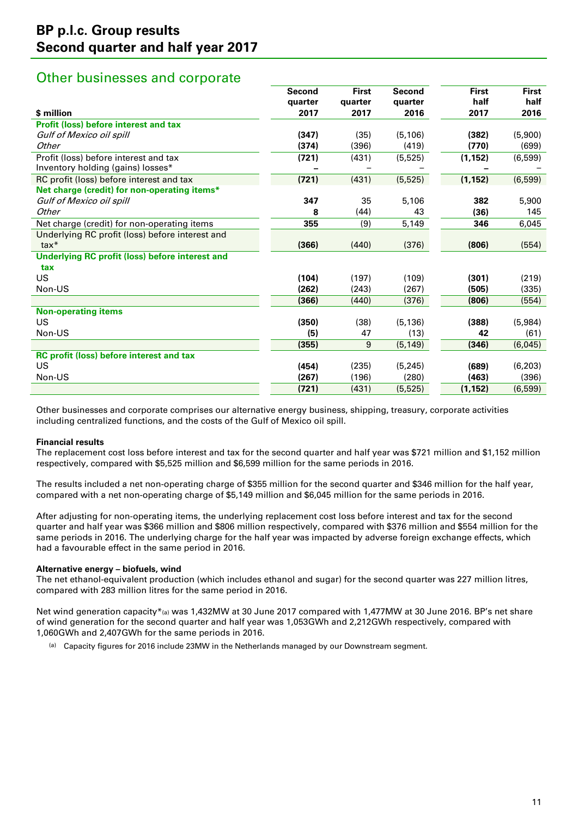### Other businesses and corporate

|                                                        | <b>Second</b> | <b>First</b> | Second   | <b>First</b> | <b>First</b> |
|--------------------------------------------------------|---------------|--------------|----------|--------------|--------------|
|                                                        | quarter       | quarter      | quarter  | half         | half         |
| \$ million                                             | 2017          | 2017         | 2016     | 2017         | 2016         |
| Profit (loss) before interest and tax                  |               |              |          |              |              |
| Gulf of Mexico oil spill                               | (347)         | (35)         | (5, 106) | (382)        | (5,900)      |
| Other                                                  | (374)         | (396)        | (419)    | (770)        | (699)        |
| Profit (loss) before interest and tax                  | (721)         | (431)        | (5, 525) | (1, 152)     | (6,599)      |
| Inventory holding (gains) losses*                      |               |              |          |              |              |
| RC profit (loss) before interest and tax               | (721)         | (431)        | (5, 525) | (1, 152)     | (6, 599)     |
| Net charge (credit) for non-operating items*           |               |              |          |              |              |
| Gulf of Mexico oil spill                               | 347           | 35           | 5,106    | 382          | 5,900        |
| Other                                                  | 8             | (44)         | 43       | (36)         | 145          |
| Net charge (credit) for non-operating items            | 355           | (9)          | 5,149    | 346          | 6,045        |
| Underlying RC profit (loss) before interest and        |               |              |          |              |              |
| $\text{tax}^*$                                         | (366)         | (440)        | (376)    | (806)        | (554)        |
| <b>Underlying RC profit (loss) before interest and</b> |               |              |          |              |              |
| tax                                                    |               |              |          |              |              |
| US                                                     | (104)         | (197)        | (109)    | (301)        | (219)        |
| Non-US                                                 | (262)         | (243)        | (267)    | (505)        | (335)        |
|                                                        | (366)         | (440)        | (376)    | (806)        | (554)        |
| <b>Non-operating items</b>                             |               |              |          |              |              |
| <b>US</b>                                              | (350)         | (38)         | (5.136)  | (388)        | (5,984)      |
| Non-US                                                 | (5)           | 47           | (13)     | 42           | (61)         |
|                                                        | (355)         | 9            | (5, 149) | (346)        | (6,045)      |
| RC profit (loss) before interest and tax               |               |              |          |              |              |
| US                                                     | (454)         | (235)        | (5, 245) | (689)        | (6,203)      |
| Non-US                                                 | (267)         | (196)        | (280)    | (463)        | (396)        |
|                                                        | (721)         | (431)        | (5, 525) | (1, 152)     | (6, 599)     |

Other businesses and corporate comprises our alternative energy business, shipping, treasury, corporate activities including centralized functions, and the costs of the Gulf of Mexico oil spill.

### **Financial results**

The replacement cost loss before interest and tax for the second quarter and half year was \$721 million and \$1,152 million respectively, compared with \$5,525 million and \$6,599 million for the same periods in 2016.

The results included a net non-operating charge of \$355 million for the second quarter and \$346 million for the half year, compared with a net non-operating charge of \$5,149 million and \$6,045 million for the same periods in 2016.

After adjusting for non-operating items, the underlying replacement cost loss before interest and tax for the second quarter and half year was \$366 million and \$806 million respectively, compared with \$376 million and \$554 million for the same periods in 2016. The underlying charge for the half year was impacted by adverse foreign exchange effects, which had a favourable effect in the same period in 2016.

### **Alternative energy – biofuels, wind**

The net ethanol-equivalent production (which includes ethanol and sugar) for the second quarter was 227 million litres, compared with 283 million litres for the same period in 2016.

Net wind generation capacity\*(a) was 1,432MW at 30 June 2017 compared with 1,477MW at 30 June 2016. BP's net share of wind generation for the second quarter and half year was 1,053GWh and 2,212GWh respectively, compared with 1,060GWh and 2,407GWh for the same periods in 2016.

(a) Capacity figures for 2016 include 23MW in the Netherlands managed by our Downstream segment.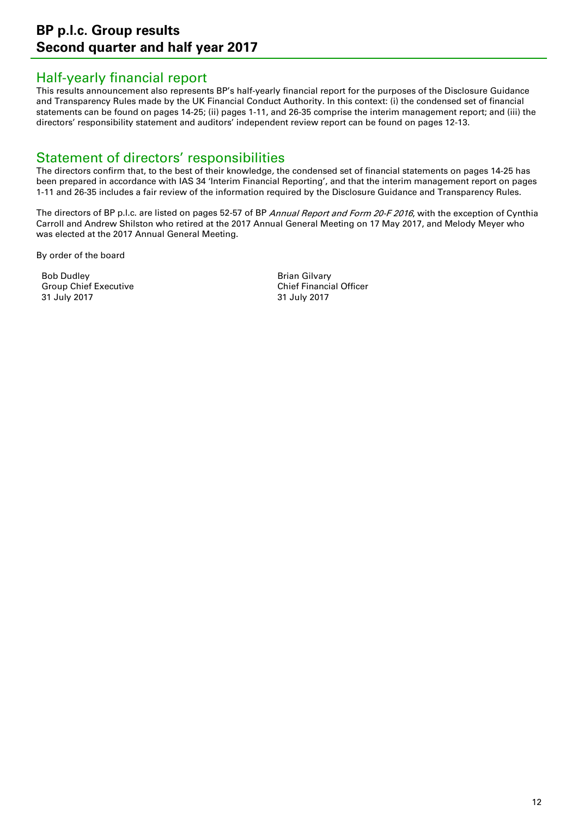### Half-yearly financial report

This results announcement also represents BP's half-yearly financial report for the purposes of the Disclosure Guidance and Transparency Rules made by the UK Financial Conduct Authority. In this context: (i) the condensed set of financial statements can be found on pages 14-25; (ii) pages 1-11, and 26-35 comprise the interim management report; and (iii) the directors' responsibility statement and auditors' independent review report can be found on pages 12-13.

### Statement of directors' responsibilities

The directors confirm that, to the best of their knowledge, the condensed set of financial statements on pages 14-25 has been prepared in accordance with IAS 34 'Interim Financial Reporting', and that the interim management report on pages 1-11 and 26-35 includes a fair review of the information required by the Disclosure Guidance and Transparency Rules.

The directors of BP p.l.c. are listed on pages 52-57 of BP Annual Report and Form 20-F 2016, with the exception of Cynthia Carroll and Andrew Shilston who retired at the 2017 Annual General Meeting on 17 May 2017, and Melody Meyer who was elected at the 2017 Annual General Meeting.

By order of the board

Bob Dudley<br>Group Chief Executive **Brian Gilvary**<br>Group Chief Executive **Brian Chief Executive** Group Chief Executive 31 July 2017 31 July 2017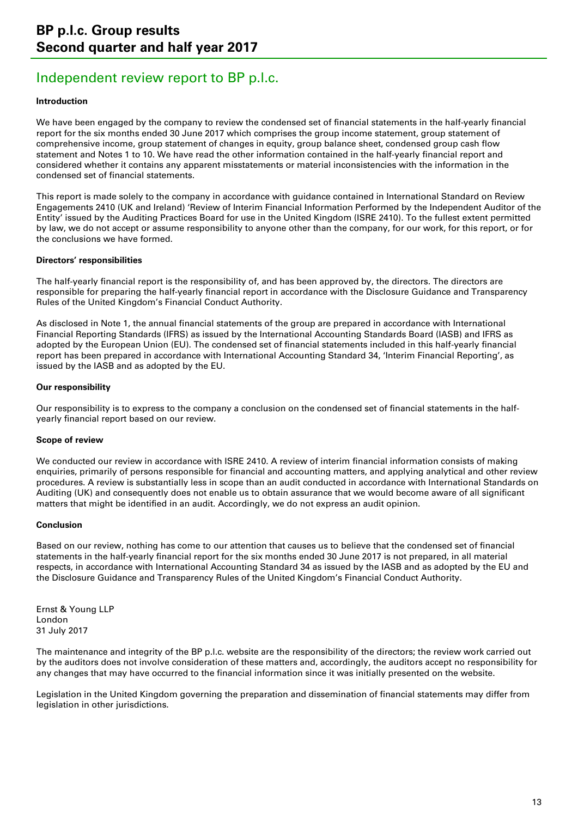### Independent review report to BP p.l.c.

### **Introduction**

We have been engaged by the company to review the condensed set of financial statements in the half-yearly financial report for the six months ended 30 June 2017 which comprises the group income statement, group statement of comprehensive income, group statement of changes in equity, group balance sheet, condensed group cash flow statement and Notes 1 to 10. We have read the other information contained in the half-yearly financial report and considered whether it contains any apparent misstatements or material inconsistencies with the information in the condensed set of financial statements.

This report is made solely to the company in accordance with guidance contained in International Standard on Review Engagements 2410 (UK and Ireland) 'Review of Interim Financial Information Performed by the Independent Auditor of the Entity' issued by the Auditing Practices Board for use in the United Kingdom (ISRE 2410). To the fullest extent permitted by law, we do not accept or assume responsibility to anyone other than the company, for our work, for this report, or for the conclusions we have formed.

### **Directors' responsibilities**

The half-yearly financial report is the responsibility of, and has been approved by, the directors. The directors are responsible for preparing the half-yearly financial report in accordance with the Disclosure Guidance and Transparency Rules of the United Kingdom's Financial Conduct Authority.

As disclosed in Note 1, the annual financial statements of the group are prepared in accordance with International Financial Reporting Standards (IFRS) as issued by the International Accounting Standards Board (IASB) and IFRS as adopted by the European Union (EU). The condensed set of financial statements included in this half-yearly financial report has been prepared in accordance with International Accounting Standard 34, 'Interim Financial Reporting', as issued by the IASB and as adopted by the EU.

### **Our responsibility**

Our responsibility is to express to the company a conclusion on the condensed set of financial statements in the halfyearly financial report based on our review.

### **Scope of review**

We conducted our review in accordance with ISRE 2410. A review of interim financial information consists of making enquiries, primarily of persons responsible for financial and accounting matters, and applying analytical and other review procedures. A review is substantially less in scope than an audit conducted in accordance with International Standards on Auditing (UK) and consequently does not enable us to obtain assurance that we would become aware of all significant matters that might be identified in an audit. Accordingly, we do not express an audit opinion.

### **Conclusion**

Based on our review, nothing has come to our attention that causes us to believe that the condensed set of financial statements in the half-yearly financial report for the six months ended 30 June 2017 is not prepared, in all material respects, in accordance with International Accounting Standard 34 as issued by the IASB and as adopted by the EU and the Disclosure Guidance and Transparency Rules of the United Kingdom's Financial Conduct Authority.

Ernst & Young LLP London 31 July 2017

The maintenance and integrity of the BP p.l.c. website are the responsibility of the directors; the review work carried out by the auditors does not involve consideration of these matters and, accordingly, the auditors accept no responsibility for any changes that may have occurred to the financial information since it was initially presented on the website.

Legislation in the United Kingdom governing the preparation and dissemination of financial statements may differ from legislation in other jurisdictions.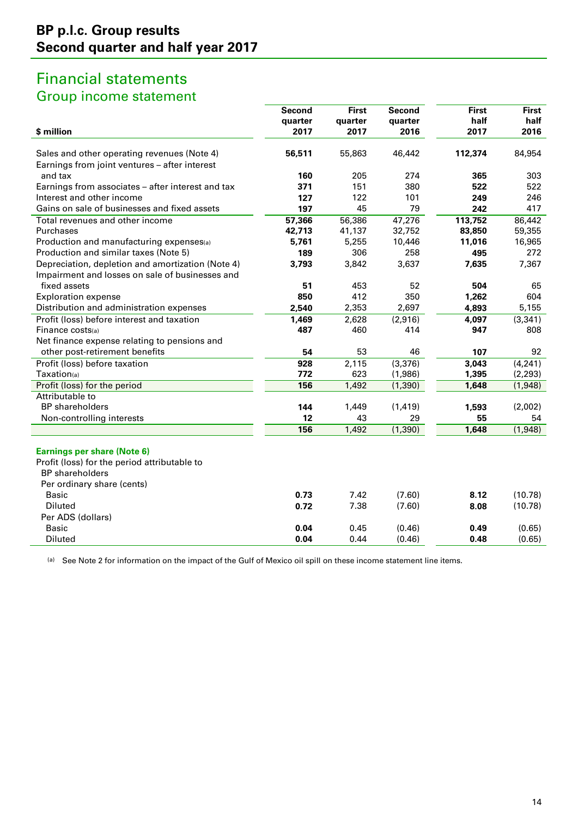## Financial statements Group income statement

|                                                   | Second  | <b>First</b> | Second   | <b>First</b> | <b>First</b> |
|---------------------------------------------------|---------|--------------|----------|--------------|--------------|
|                                                   | quarter | quarter      | quarter  | half         | half         |
| \$ million                                        | 2017    | 2017         | 2016     | 2017         | 2016         |
|                                                   |         |              |          |              |              |
| Sales and other operating revenues (Note 4)       | 56,511  | 55,863       | 46,442   | 112,374      | 84,954       |
| Earnings from joint ventures - after interest     |         |              |          |              |              |
| and tax                                           | 160     | 205          | 274      | 365          | 303          |
| Earnings from associates - after interest and tax | 371     | 151          | 380      | 522          | 522          |
| Interest and other income                         | 127     | 122          | 101      | 249          | 246          |
| Gains on sale of businesses and fixed assets      | 197     | 45           | 79       | 242          | 417          |
| Total revenues and other income                   | 57,366  | 56,386       | 47,276   | 113,752      | 86,442       |
| Purchases                                         | 42,713  | 41,137       | 32,752   | 83,850       | 59,355       |
| Production and manufacturing expenses(a)          | 5,761   | 5,255        | 10,446   | 11,016       | 16,965       |
| Production and similar taxes (Note 5)             | 189     | 306          | 258      | 495          | 272          |
| Depreciation, depletion and amortization (Note 4) | 3,793   | 3,842        | 3,637    | 7,635        | 7,367        |
| Impairment and losses on sale of businesses and   |         |              |          |              |              |
| fixed assets                                      | 51      | 453          | 52       | 504          | 65           |
| <b>Exploration expense</b>                        | 850     | 412          | 350      | 1,262        | 604          |
| Distribution and administration expenses          | 2,540   | 2,353        | 2,697    | 4,893        | 5,155        |
| Profit (loss) before interest and taxation        | 1,469   | 2,628        | (2,916)  | 4,097        | (3, 341)     |
| Finance costs(a)                                  | 487     | 460          | 414      | 947          | 808          |
| Net finance expense relating to pensions and      |         |              |          |              |              |
| other post-retirement benefits                    | 54      | 53           | 46       | 107          | 92           |
| Profit (loss) before taxation                     | 928     | 2,115        | (3, 376) | 3,043        | (4, 241)     |
| Taxation(a)                                       | 772     | 623          | (1,986)  | 1,395        | (2, 293)     |
| Profit (loss) for the period                      | 156     | 1,492        | (1, 390) | 1,648        | (1,948)      |
| Attributable to                                   |         |              |          |              |              |
| <b>BP</b> shareholders                            | 144     | 1,449        | (1, 419) | 1,593        | (2,002)      |
| Non-controlling interests                         | 12      | 43           | 29       | 55           | 54           |
|                                                   | 156     | 1,492        | (1, 390) | 1,648        | (1,948)      |
|                                                   |         |              |          |              |              |
| <b>Earnings per share (Note 6)</b>                |         |              |          |              |              |
| Profit (loss) for the period attributable to      |         |              |          |              |              |
| <b>BP</b> shareholders                            |         |              |          |              |              |
| Per ordinary share (cents)                        |         |              |          |              |              |
| <b>Basic</b>                                      | 0.73    | 7.42         | (7.60)   | 8.12         | (10.78)      |
| <b>Diluted</b>                                    | 0.72    | 7.38         | (7.60)   | 8.08         | (10.78)      |
| Per ADS (dollars)                                 |         |              |          |              |              |
| <b>Basic</b>                                      | 0.04    | 0.45         | (0.46)   | 0.49         | (0.65)       |
| Diluted                                           | 0.04    | 0.44         | (0.46)   | 0.48         | (0.65)       |

(a) See Note 2 for information on the impact of the Gulf of Mexico oil spill on these income statement line items.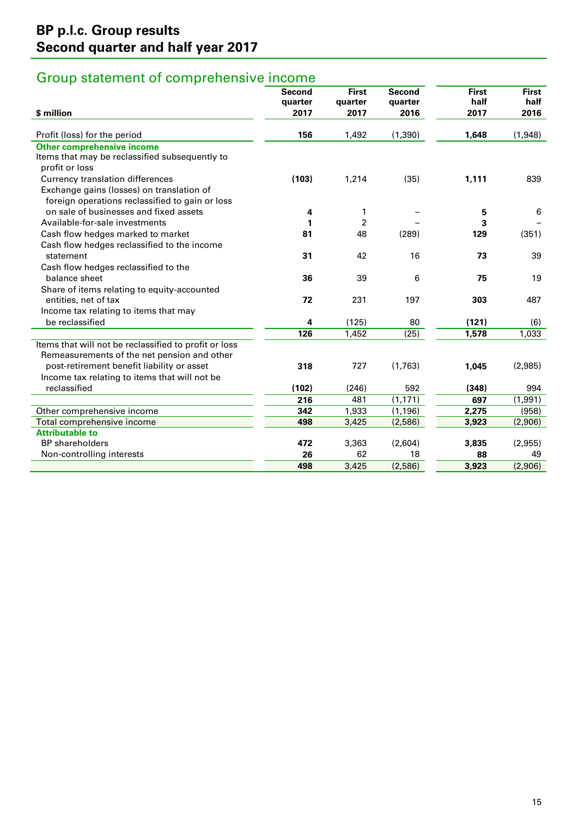# Group statement of comprehensive income

|                                                                                                       | Second<br>quarter | <b>First</b><br>quarter | Second<br>quarter | <b>First</b><br>half | <b>First</b><br>half |
|-------------------------------------------------------------------------------------------------------|-------------------|-------------------------|-------------------|----------------------|----------------------|
| \$ million                                                                                            | 2017              | 2017                    | 2016              | 2017                 | 2016                 |
|                                                                                                       |                   |                         |                   |                      |                      |
| Profit (loss) for the period                                                                          | 156               | 1,492                   | (1,390)           | 1,648                | (1,948)              |
| <b>Other comprehensive income</b><br>Items that may be reclassified subsequently to<br>profit or loss |                   |                         |                   |                      |                      |
| <b>Currency translation differences</b>                                                               | (103)             | 1,214                   | (35)              | 1,111                | 839                  |
| Exchange gains (losses) on translation of<br>foreign operations reclassified to gain or loss          |                   |                         |                   |                      |                      |
| on sale of businesses and fixed assets                                                                | 4                 | 1                       |                   | 5                    | 6                    |
| Available-for-sale investments                                                                        | 1                 | $\overline{2}$          |                   | 3                    |                      |
| Cash flow hedges marked to market                                                                     | 81                | 48                      | (289)             | 129                  | (351)                |
| Cash flow hedges reclassified to the income                                                           |                   |                         |                   |                      |                      |
| statement                                                                                             | 31                | 42                      | 16                | 73                   | 39                   |
| Cash flow hedges reclassified to the                                                                  |                   |                         |                   |                      |                      |
| balance sheet                                                                                         | 36                | 39                      | 6                 | 75                   | 19                   |
| Share of items relating to equity-accounted                                                           |                   |                         |                   |                      |                      |
| entities, net of tax                                                                                  | 72                | 231                     | 197               | 303                  | 487                  |
| Income tax relating to items that may                                                                 |                   |                         |                   |                      |                      |
| be reclassified                                                                                       | 4                 | (125)                   | 80                | (121)                | (6)                  |
|                                                                                                       | 126               | 1,452                   | (25)              | 1,578                | 1,033                |
| Items that will not be reclassified to profit or loss<br>Remeasurements of the net pension and other  |                   |                         |                   |                      |                      |
| post-retirement benefit liability or asset                                                            | 318               | 727                     | (1,763)           | 1,045                | (2,985)              |
| Income tax relating to items that will not be                                                         |                   |                         |                   |                      |                      |
| reclassified                                                                                          | (102)             | (246)                   | 592               | (348)                | 994                  |
|                                                                                                       | 216               | 481                     | (1, 171)          | 697                  | (1,991)              |
| Other comprehensive income                                                                            | 342               | 1,933                   | (1, 196)          | 2,275                | (958)                |
| Total comprehensive income                                                                            | 498               | 3,425                   | (2,586)           | 3,923                | (2,906)              |
| <b>Attributable to</b>                                                                                |                   |                         |                   |                      |                      |
| <b>BP</b> shareholders                                                                                | 472               | 3,363                   | (2,604)           | 3,835                | (2,955)              |
| Non-controlling interests                                                                             | 26                | 62                      | 18                | 88                   | 49                   |
|                                                                                                       | 498               | 3,425                   | (2,586)           | 3,923                | (2,906)              |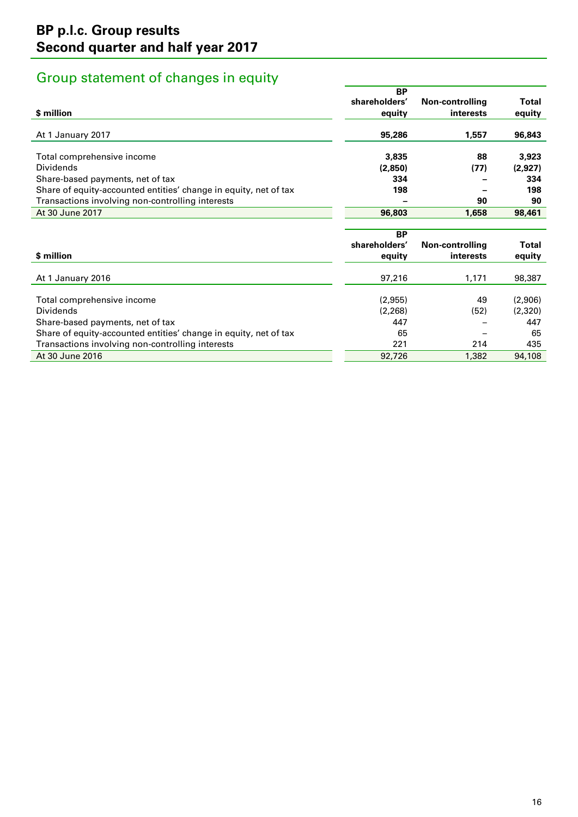## Group statement of changes in equity

|                                                                  | <b>BP</b>     |                  |         |
|------------------------------------------------------------------|---------------|------------------|---------|
|                                                                  | shareholders' | Non-controlling  | Total   |
| \$ million                                                       | equity        | <b>interests</b> | equity  |
| At 1 January 2017                                                | 95,286        | 1,557            | 96,843  |
| Total comprehensive income                                       | 3,835         | 88               | 3,923   |
| <b>Dividends</b>                                                 | (2,850)       | (77)             | (2,927) |
| Share-based payments, net of tax                                 | 334           |                  | 334     |
| Share of equity-accounted entities' change in equity, net of tax | 198           |                  | 198     |
| Transactions involving non-controlling interests                 |               | 90               | 90      |
| At 30 June 2017                                                  | 96,803        | 1,658            | 98,461  |
|                                                                  |               |                  |         |
|                                                                  | <b>BP</b>     |                  |         |
|                                                                  | shareholders' | Non-controlling  | Total   |
| \$ million                                                       | equity        | <b>interests</b> | equity  |
| At 1 January 2016                                                | 97,216        | 1,171            | 98,387  |
| Total comprehensive income                                       | (2,955)       | 49               | (2,906) |
| <b>Dividends</b>                                                 | (2, 268)      | (52)             | (2,320) |
| Share-based payments, net of tax                                 | 447           |                  | 447     |
| Share of equity-accounted entities' change in equity, net of tax | 65            |                  | 65      |

Transactions involving non-controlling interests and 221 221 214 214 435 At 30 June 2016 2016 2016 1,382 94,108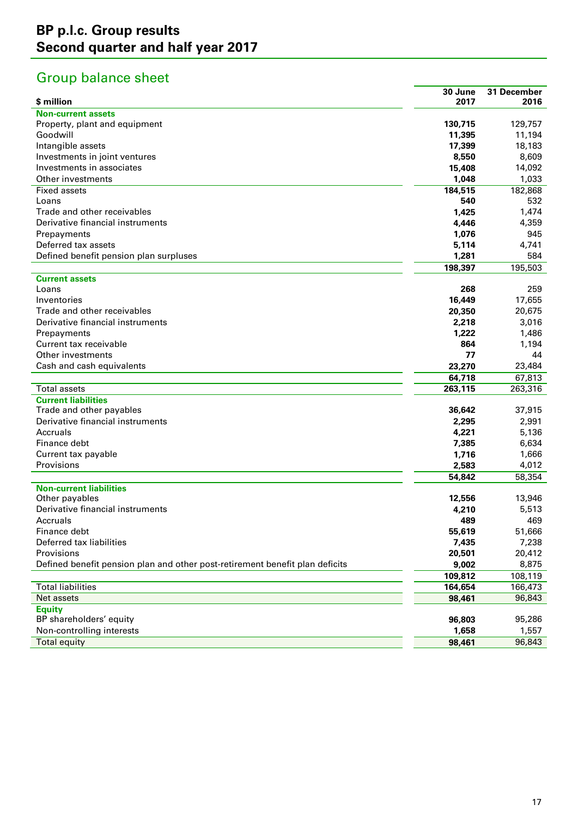# Group balance sheet

|                                                                              | 30 June | 31 December |
|------------------------------------------------------------------------------|---------|-------------|
| \$ million                                                                   | 2017    | 2016        |
| <b>Non-current assets</b>                                                    |         |             |
| Property, plant and equipment                                                | 130,715 | 129,757     |
| Goodwill                                                                     | 11,395  | 11,194      |
| Intangible assets                                                            | 17,399  | 18,183      |
| Investments in joint ventures                                                | 8,550   | 8,609       |
| Investments in associates                                                    | 15,408  | 14,092      |
| Other investments                                                            | 1,048   | 1,033       |
| <b>Fixed assets</b>                                                          | 184,515 | 182,868     |
| Loans                                                                        | 540     | 532         |
| Trade and other receivables                                                  | 1,425   | 1,474       |
| Derivative financial instruments                                             | 4,446   | 4,359       |
| Prepayments                                                                  | 1,076   | 945         |
| Deferred tax assets                                                          | 5,114   | 4,741       |
| Defined benefit pension plan surpluses                                       | 1,281   | 584         |
|                                                                              | 198,397 | 195,503     |
| <b>Current assets</b>                                                        |         |             |
| Loans                                                                        | 268     | 259         |
| Inventories                                                                  | 16,449  | 17,655      |
| Trade and other receivables                                                  | 20,350  | 20,675      |
| Derivative financial instruments                                             | 2,218   | 3,016       |
| Prepayments                                                                  | 1,222   | 1,486       |
| Current tax receivable                                                       | 864     | 1,194       |
| Other investments                                                            | 77      | 44          |
| Cash and cash equivalents                                                    | 23,270  | 23,484      |
|                                                                              | 64,718  | 67,813      |
| <b>Total assets</b>                                                          | 263,115 | 263,316     |
| <b>Current liabilities</b>                                                   |         |             |
| Trade and other payables                                                     | 36,642  | 37,915      |
| Derivative financial instruments                                             | 2,295   | 2,991       |
| Accruals                                                                     | 4,221   | 5,136       |
| Finance debt                                                                 | 7,385   | 6,634       |
| Current tax payable                                                          | 1,716   | 1,666       |
| Provisions                                                                   | 2,583   | 4,012       |
|                                                                              | 54,842  | 58,354      |
| <b>Non-current liabilities</b>                                               |         |             |
| Other payables                                                               | 12,556  | 13,946      |
| Derivative financial instruments                                             | 4,210   | 5,513       |
| Accruals                                                                     | 489     | 469         |
| Finance debt                                                                 | 55,619  | 51,666      |
| Deferred tax liabilities                                                     | 7,435   | 7,238       |
| Provisions                                                                   | 20,501  | 20,412      |
| Defined benefit pension plan and other post-retirement benefit plan deficits | 9,002   | 8,875       |
|                                                                              | 109,812 | 108,119     |
| <b>Total liabilities</b>                                                     | 164,654 | 166,473     |
| Net assets                                                                   | 98,461  | 96,843      |
| <b>Equity</b>                                                                |         |             |
| BP shareholders' equity                                                      | 96,803  | 95,286      |
| Non-controlling interests                                                    | 1,658   | 1,557       |
| <b>Total equity</b>                                                          | 98,461  | 96,843      |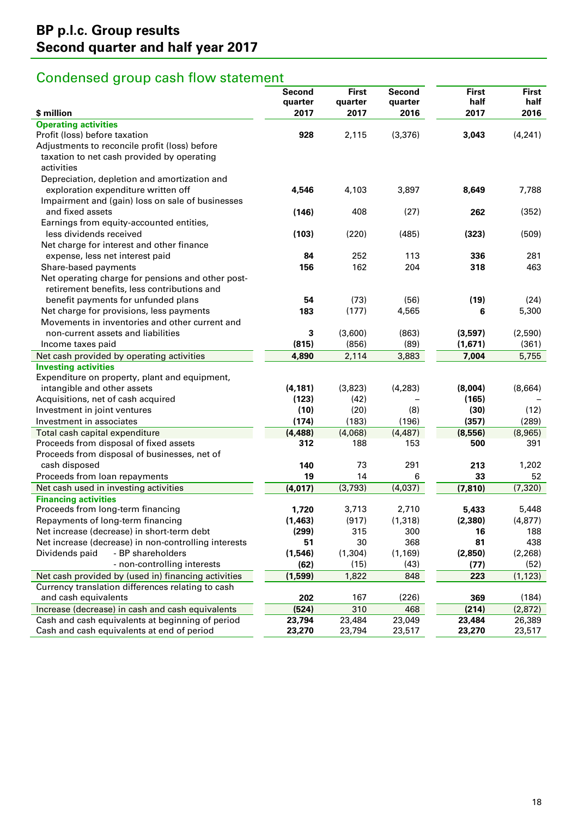# Condensed group cash flow statement

|                                                      | Second          | <b>First</b>    | Second          | <b>First</b> | <b>First</b> |
|------------------------------------------------------|-----------------|-----------------|-----------------|--------------|--------------|
| \$ million                                           | quarter<br>2017 | quarter<br>2017 | quarter<br>2016 | half<br>2017 | half<br>2016 |
| <b>Operating activities</b>                          |                 |                 |                 |              |              |
| Profit (loss) before taxation                        | 928             | 2,115           | (3, 376)        | 3,043        | (4, 241)     |
| Adjustments to reconcile profit (loss) before        |                 |                 |                 |              |              |
| taxation to net cash provided by operating           |                 |                 |                 |              |              |
| activities                                           |                 |                 |                 |              |              |
| Depreciation, depletion and amortization and         |                 |                 |                 |              |              |
| exploration expenditure written off                  | 4,546           | 4,103           | 3,897           | 8,649        | 7,788        |
| Impairment and (gain) loss on sale of businesses     |                 |                 |                 |              |              |
| and fixed assets                                     | (146)           | 408             | (27)            | 262          | (352)        |
| Earnings from equity-accounted entities,             |                 |                 |                 |              |              |
| less dividends received                              | (103)           | (220)           | (485)           | (323)        | (509)        |
| Net charge for interest and other finance            |                 |                 |                 |              |              |
| expense, less net interest paid                      | 84              | 252             | 113             | 336          | 281          |
| Share-based payments                                 | 156             | 162             | 204             | 318          | 463          |
| Net operating charge for pensions and other post-    |                 |                 |                 |              |              |
| retirement benefits, less contributions and          |                 |                 |                 |              |              |
| benefit payments for unfunded plans                  | 54              | (73)            | (56)            | (19)         | (24)         |
| Net charge for provisions, less payments             | 183             | (177)           | 4,565           | 6            | 5,300        |
| Movements in inventories and other current and       |                 |                 |                 |              |              |
| non-current assets and liabilities                   | 3               | (3,600)         | (863)           | (3,597)      | (2,590)      |
| Income taxes paid                                    | (815)           | (856)           | (89)            | (1,671)      | (361)        |
| Net cash provided by operating activities            | 4,890           | 2,114           | 3,883           | 7,004        | 5,755        |
| <b>Investing activities</b>                          |                 |                 |                 |              |              |
| Expenditure on property, plant and equipment,        |                 |                 |                 |              |              |
| intangible and other assets                          | (4, 181)        | (3,823)         | (4, 283)        | (8,004)      | (8,664)      |
| Acquisitions, net of cash acquired                   | (123)           | (42)            |                 | (165)        |              |
| Investment in joint ventures                         | (10)            | (20)            | (8)             | (30)         | (12)         |
| Investment in associates                             | (174)           | (183)           | (196)           | (357)        | (289)        |
| Total cash capital expenditure                       | (4, 488)        | (4,068)         | (4, 487)        | (8, 556)     | (8,965)      |
| Proceeds from disposal of fixed assets               | 312             | 188             | 153             | 500          | 391          |
| Proceeds from disposal of businesses, net of         |                 |                 |                 |              |              |
| cash disposed                                        | 140             | 73              | 291             | 213          | 1,202        |
| Proceeds from loan repayments                        | 19              | 14              | 6               | 33           | 52           |
| Net cash used in investing activities                | (4, 017)        | (3,793)         | (4,037)         | (7, 810)     | (7, 320)     |
| <b>Financing activities</b>                          |                 |                 |                 |              |              |
| Proceeds from long-term financing                    | 1,720           | 3,713           | 2,710           | 5,433        | 5,448        |
| Repayments of long-term financing                    | (1, 463)        | (917)           | (1, 318)        | (2, 380)     | (4, 877)     |
| Net increase (decrease) in short-term debt           | (299)           | 315             | 300             | 16           | 188          |
| Net increase (decrease) in non-controlling interests | 51              | 30              | 368             | 81           | 438          |
| Dividends paid<br>- BP shareholders                  | (1,546)         | (1, 304)        | (1, 169)        | (2,850)      | (2, 268)     |
| - non-controlling interests                          | (62)            | (15)            | (43)            | (77)         | (52)         |
| Net cash provided by (used in) financing activities  | (1,599)         | 1,822           | 848             | 223          | (1, 123)     |
| Currency translation differences relating to cash    |                 |                 |                 |              |              |
| and cash equivalents                                 | 202             | 167             | (226)           | 369          | (184)        |
| Increase (decrease) in cash and cash equivalents     | (524)           | 310             | 468             | (214)        | (2,872)      |
| Cash and cash equivalents at beginning of period     | 23,794          | 23,484          | 23,049          | 23,484       | 26,389       |
| Cash and cash equivalents at end of period           | 23,270          | 23,794          | 23,517          | 23,270       | 23,517       |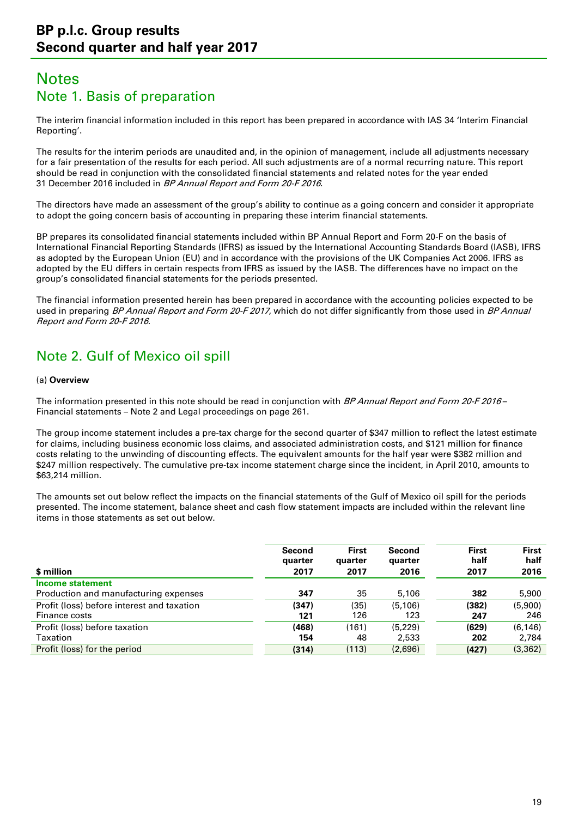### **Notes** Note 1. Basis of preparation

The interim financial information included in this report has been prepared in accordance with IAS 34 'Interim Financial Reporting'.

The results for the interim periods are unaudited and, in the opinion of management, include all adjustments necessary for a fair presentation of the results for each period. All such adjustments are of a normal recurring nature. This report should be read in conjunction with the consolidated financial statements and related notes for the year ended 31 December 2016 included in BP Annual Report and Form 20-F 2016.

The directors have made an assessment of the group's ability to continue as a going concern and consider it appropriate to adopt the going concern basis of accounting in preparing these interim financial statements.

BP prepares its consolidated financial statements included within BP Annual Report and Form 20-F on the basis of International Financial Reporting Standards (IFRS) as issued by the International Accounting Standards Board (IASB), IFRS as adopted by the European Union (EU) and in accordance with the provisions of the UK Companies Act 2006. IFRS as adopted by the EU differs in certain respects from IFRS as issued by the IASB. The differences have no impact on the group's consolidated financial statements for the periods presented.

The financial information presented herein has been prepared in accordance with the accounting policies expected to be used in preparing BP Annual Report and Form 20-F 2017, which do not differ significantly from those used in BP Annual Report and Form 20-F 2016.

## Note 2. Gulf of Mexico oil spill

### (a) **Overview**

The information presented in this note should be read in conjunction with BP Annual Report and Form 20-F 2016-Financial statements – Note 2 and Legal proceedings on page 261.

The group income statement includes a pre-tax charge for the second quarter of \$347 million to reflect the latest estimate for claims, including business economic loss claims, and associated administration costs, and \$121 million for finance costs relating to the unwinding of discounting effects. The equivalent amounts for the half year were \$382 million and \$247 million respectively. The cumulative pre-tax income statement charge since the incident, in April 2010, amounts to \$63,214 million.

The amounts set out below reflect the impacts on the financial statements of the Gulf of Mexico oil spill for the periods presented. The income statement, balance sheet and cash flow statement impacts are included within the relevant line items in those statements as set out below.

| \$ million                                 | Second<br>quarter<br>2017 | <b>First</b><br>quarter<br>2017 | <b>Second</b><br>quarter<br>2016 | <b>First</b><br>half<br>2017 | <b>First</b><br>half<br>2016 |
|--------------------------------------------|---------------------------|---------------------------------|----------------------------------|------------------------------|------------------------------|
| Income statement                           |                           |                                 |                                  |                              |                              |
| Production and manufacturing expenses      | 347                       | 35                              | 5,106                            | 382                          | 5,900                        |
| Profit (loss) before interest and taxation | (347)                     | (35)                            | (5, 106)                         | (382)                        | (5,900)                      |
| Finance costs                              | 121                       | 126                             | 123                              | 247                          | 246                          |
| Profit (loss) before taxation              | (468)                     | (161)                           | (5,229)                          | (629)                        | (6, 146)                     |
| Taxation                                   | 154                       | 48                              | 2,533                            | 202                          | 2,784                        |
| Profit (loss) for the period               | (314)                     | (113)                           | (2,696)                          | (427)                        | (3, 362)                     |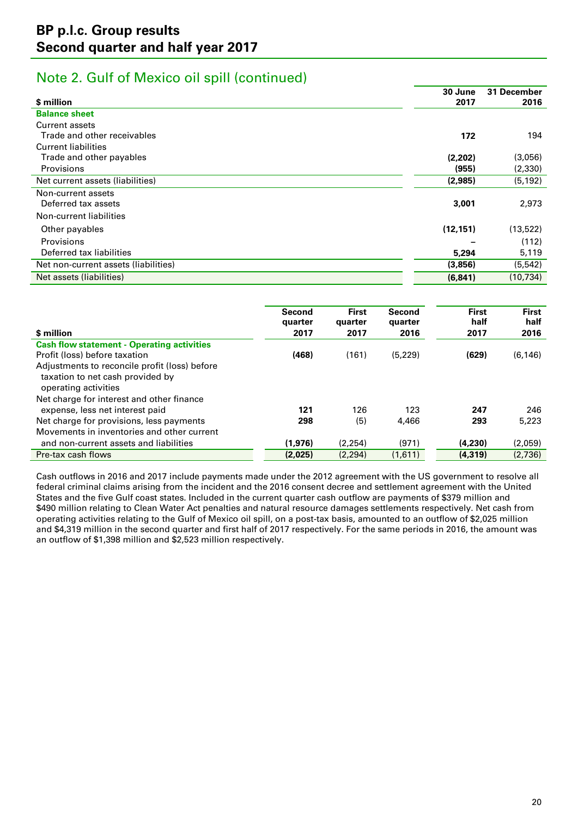## Note 2. Gulf of Mexico oil spill (continued)

|                                      | 30 June   | 31 December |
|--------------------------------------|-----------|-------------|
| \$ million                           | 2017      | 2016        |
| <b>Balance sheet</b>                 |           |             |
| Current assets                       |           |             |
| Trade and other receivables          | 172       | 194         |
| <b>Current liabilities</b>           |           |             |
| Trade and other payables             | (2,202)   | (3,056)     |
| Provisions                           | (955)     | (2, 330)    |
| Net current assets (liabilities)     | (2,985)   | (5, 192)    |
| Non-current assets                   |           |             |
| Deferred tax assets                  | 3,001     | 2,973       |
| Non-current liabilities              |           |             |
| Other payables                       | (12, 151) | (13, 522)   |
| Provisions                           |           | (112)       |
| Deferred tax liabilities             | 5,294     | 5,119       |
| Net non-current assets (liabilities) | (3,856)   | (5, 542)    |
| Net assets (liabilities)             | (6, 841)  | (10, 734)   |

| \$ million                                                                                                | Second<br>quarter<br>2017 | <b>First</b><br>quarter<br>2017 | Second<br>quarter<br>2016 | <b>First</b><br>half<br>2017 | <b>First</b><br>half<br>2016 |
|-----------------------------------------------------------------------------------------------------------|---------------------------|---------------------------------|---------------------------|------------------------------|------------------------------|
| <b>Cash flow statement - Operating activities</b><br>Profit (loss) before taxation                        |                           | (161)                           | (5, 229)                  |                              | (6, 146)                     |
| Adjustments to reconcile profit (loss) before<br>taxation to net cash provided by<br>operating activities | (468)                     |                                 |                           | (629)                        |                              |
| Net charge for interest and other finance                                                                 |                           |                                 |                           |                              |                              |
| expense, less net interest paid                                                                           | 121                       | 126                             | 123                       | 247                          | 246                          |
| Net charge for provisions, less payments                                                                  | 298                       | (5)                             | 4,466                     | 293                          | 5,223                        |
| Movements in inventories and other current                                                                |                           |                                 |                           |                              |                              |
| and non-current assets and liabilities                                                                    | (1.976)                   | (2, 254)                        | (971)                     | (4.230)                      | (2,059)                      |
| Pre-tax cash flows                                                                                        | (2,025)                   | (2, 294)                        | (1,611)                   | (4, 319)                     | (2,736)                      |

Cash outflows in 2016 and 2017 include payments made under the 2012 agreement with the US government to resolve all federal criminal claims arising from the incident and the 2016 consent decree and settlement agreement with the United States and the five Gulf coast states. Included in the current quarter cash outflow are payments of \$379 million and \$490 million relating to Clean Water Act penalties and natural resource damages settlements respectively. Net cash from operating activities relating to the Gulf of Mexico oil spill, on a post-tax basis, amounted to an outflow of \$2,025 million and \$4,319 million in the second quarter and first half of 2017 respectively. For the same periods in 2016, the amount was an outflow of \$1,398 million and \$2,523 million respectively.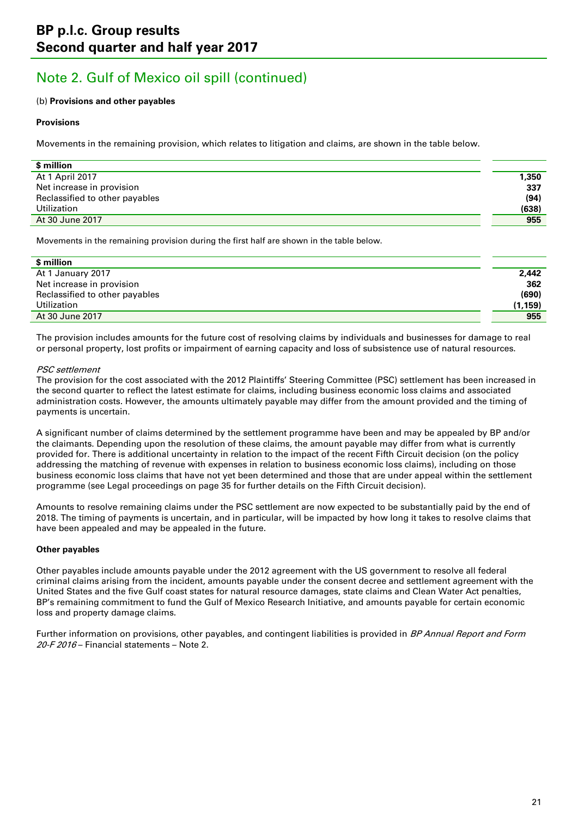## Note 2. Gulf of Mexico oil spill (continued)

### (b) **Provisions and other payables**

### **Provisions**

Movements in the remaining provision, which relates to litigation and claims, are shown in the table below.

| \$ million                     |       |
|--------------------------------|-------|
| At 1 April 2017                | 1,350 |
| Net increase in provision      | 337   |
| Reclassified to other payables | (94)  |
| Utilization                    | (638) |
| At 30 June 2017                | 955   |

Movements in the remaining provision during the first half are shown in the table below.

| \$ million                     |          |
|--------------------------------|----------|
| At 1 January 2017              | 2.442    |
| Net increase in provision      | 362      |
| Reclassified to other payables | (690)    |
| <b>Utilization</b>             | (1, 159) |
| At 30 June 2017                | 955      |

The provision includes amounts for the future cost of resolving claims by individuals and businesses for damage to real or personal property, lost profits or impairment of earning capacity and loss of subsistence use of natural resources.

### PSC settlement

The provision for the cost associated with the 2012 Plaintiffs' Steering Committee (PSC) settlement has been increased in the second quarter to reflect the latest estimate for claims, including business economic loss claims and associated administration costs. However, the amounts ultimately payable may differ from the amount provided and the timing of payments is uncertain.

A significant number of claims determined by the settlement programme have been and may be appealed by BP and/or the claimants. Depending upon the resolution of these claims, the amount payable may differ from what is currently provided for. There is additional uncertainty in relation to the impact of the recent Fifth Circuit decision (on the policy addressing the matching of revenue with expenses in relation to business economic loss claims), including on those business economic loss claims that have not yet been determined and those that are under appeal within the settlement programme (see Legal proceedings on page 35 for further details on the Fifth Circuit decision).

Amounts to resolve remaining claims under the PSC settlement are now expected to be substantially paid by the end of 2018. The timing of payments is uncertain, and in particular, will be impacted by how long it takes to resolve claims that have been appealed and may be appealed in the future.

### **Other payables**

Other payables include amounts payable under the 2012 agreement with the US government to resolve all federal criminal claims arising from the incident, amounts payable under the consent decree and settlement agreement with the United States and the five Gulf coast states for natural resource damages, state claims and Clean Water Act penalties, BP's remaining commitment to fund the Gulf of Mexico Research Initiative, and amounts payable for certain economic loss and property damage claims.

Further information on provisions, other payables, and contingent liabilities is provided in BP Annual Report and Form 20-F 2016 – Financial statements – Note 2.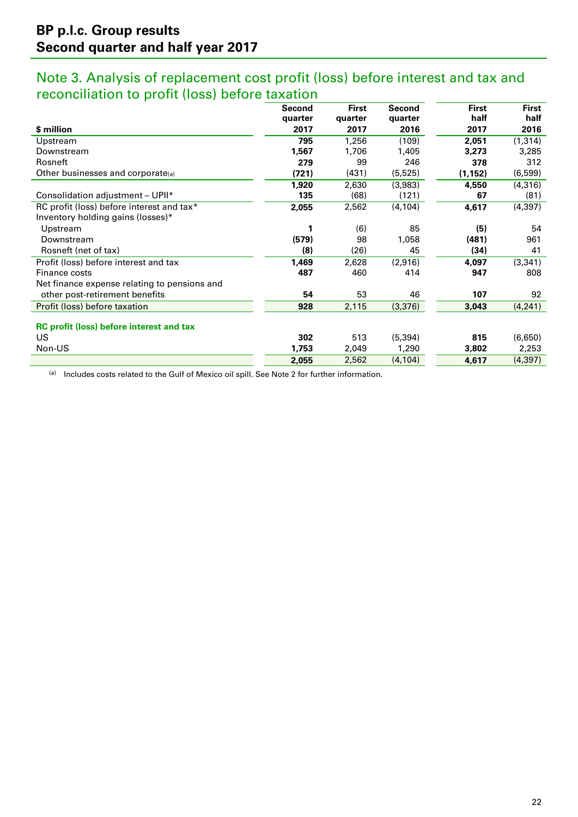## Note 3. Analysis of replacement cost profit (loss) before interest and tax and reconciliation to profit (loss) before taxation

|                                                 | <b>Second</b> | <b>First</b> | <b>Second</b> | <b>First</b> | First    |
|-------------------------------------------------|---------------|--------------|---------------|--------------|----------|
|                                                 | quarter       | quarter      | quarter       | half         | half     |
| \$ million                                      | 2017          | 2017         | 2016          | 2017         | 2016     |
| Upstream                                        | 795           | 1,256        | (109)         | 2,051        | (1, 314) |
| Downstream                                      | 1,567         | 1,706        | 1,405         | 3,273        | 3,285    |
| Rosneft                                         | 279           | 99           | 246           | 378          | 312      |
| Other businesses and corporate(a)               | (721)         | (431)        | (5, 525)      | (1, 152)     | (6, 599) |
|                                                 | 1,920         | 2,630        | (3,983)       | 4,550        | (4, 316) |
| Consolidation adjustment - UPII*                | 135           | (68)         | (121)         | 67           | (81)     |
| RC profit (loss) before interest and tax*       | 2,055         | 2,562        | (4, 104)      | 4,617        | (4, 397) |
| Inventory holding gains (losses)*               |               |              |               |              |          |
| Upstream                                        | 1             | (6)          | 85            | (5)          | 54       |
| Downstream                                      | (579)         | 98           | 1,058         | (481)        | 961      |
| Rosneft (net of tax)                            | (8)           | (26)         | 45            | (34)         | 41       |
| Profit (loss) before interest and tax           | 1,469         | 2,628        | (2,916)       | 4,097        | (3, 341) |
| Finance costs                                   | 487           | 460          | 414           | 947          | 808      |
| Net finance expense relating to pensions and    |               |              |               |              |          |
| other post-retirement benefits                  | 54            | 53           | 46            | 107          | 92       |
| Profit (loss) before taxation                   | 928           | 2,115        | (3, 376)      | 3,043        | (4, 241) |
|                                                 |               |              |               |              |          |
| <b>RC profit (loss) before interest and tax</b> |               |              |               |              |          |
| US                                              | 302           | 513          | (5, 394)      | 815          | (6,650)  |
| Non-US                                          | 1,753         | 2,049        | 1,290         | 3,802        | 2,253    |
|                                                 | 2,055         | 2,562        | (4, 104)      | 4,617        | (4, 397) |

(a) Includes costs related to the Gulf of Mexico oil spill. See Note 2 for further information.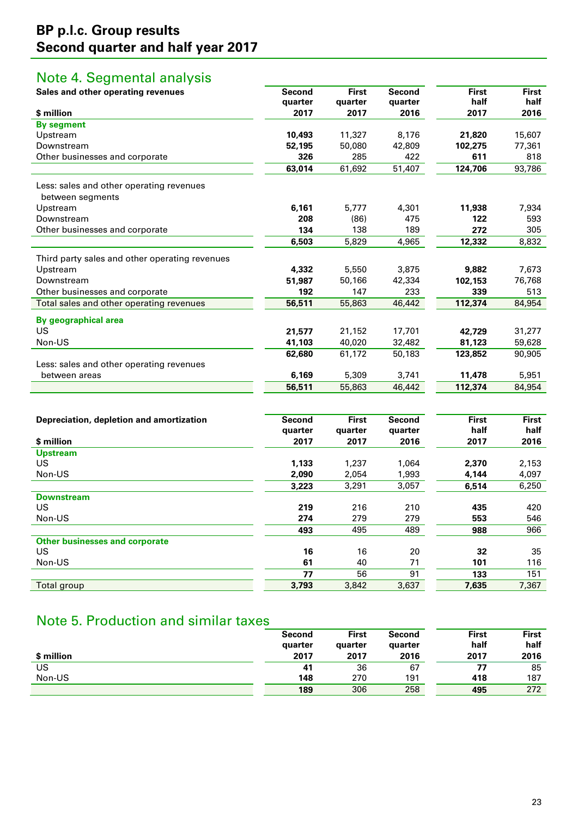## Note 4. Segmental analysis

| Sales and other operating revenues                           | Second          | <b>First</b>    | Second          | <b>First</b> | <b>First</b> |
|--------------------------------------------------------------|-----------------|-----------------|-----------------|--------------|--------------|
| \$ million                                                   | quarter<br>2017 | quarter<br>2017 | quarter<br>2016 | half<br>2017 | half<br>2016 |
| <b>By segment</b>                                            |                 |                 |                 |              |              |
| Upstream                                                     | 10,493          | 11,327          | 8,176           | 21,820       | 15,607       |
| Downstream                                                   | 52,195          | 50,080          | 42,809          | 102,275      | 77,361       |
| Other businesses and corporate                               | 326             | 285             | 422             | 611          | 818          |
|                                                              | 63,014          | 61,692          | 51,407          | 124,706      | 93,786       |
| Less: sales and other operating revenues<br>between segments |                 |                 |                 |              |              |
| Upstream                                                     | 6,161           | 5,777           | 4,301           | 11,938       | 7,934        |
| Downstream                                                   | 208             | (86)            | 475             | 122          | 593          |
| Other businesses and corporate                               | 134             | 138             | 189             | 272          | 305          |
|                                                              | 6,503           | 5,829           | 4,965           | 12,332       | 8,832        |
| Third party sales and other operating revenues               |                 |                 |                 |              |              |
| Upstream                                                     | 4,332           | 5,550           | 3,875           | 9,882        | 7,673        |
| Downstream                                                   | 51,987          | 50,166          | 42,334          | 102,153      | 76,768       |
| Other businesses and corporate                               | 192             | 147             | 233             | 339          | 513          |
| Total sales and other operating revenues                     | 56,511          | 55,863          | 46,442          | 112,374      | 84,954       |
| By geographical area                                         |                 |                 |                 |              |              |
| US                                                           | 21.577          | 21,152          | 17,701          | 42,729       | 31,277       |
| Non-US                                                       | 41,103          | 40,020          | 32,482          | 81,123       | 59,628       |
|                                                              | 62,680          | 61,172          | 50,183          | 123,852      | 90,905       |
| Less: sales and other operating revenues                     |                 |                 |                 |              |              |
| between areas                                                | 6,169           | 5,309           | 3,741           | 11,478       | 5,951        |
|                                                              | 56,511          | 55,863          | 46,442          | 112,374      | 84,954       |
|                                                              |                 |                 |                 |              |              |
| Depreciation, depletion and amortization                     | Second          | <b>First</b>    | Second          | <b>First</b> | <b>First</b> |
|                                                              | quarter         | quarter         | quarter         | half         | half         |
| \$ million                                                   | 2017            | 2017            | 2016            | 2017         | 2016         |
| <b>Upstream</b>                                              |                 |                 |                 |              |              |
| US                                                           | 1,133           | 1,237           | 1,064           | 2,370        | 2,153        |
| Non-US                                                       | 2,090           | 2,054           | 1,993           | 4,144        | 4,097        |
|                                                              | 3,223           | 3,291           | 3,057           | 6,514        | 6,250        |

|                                       | ----  | <u>.</u> | ----  | .     | <u></u> |
|---------------------------------------|-------|----------|-------|-------|---------|
| <b>Downstream</b>                     |       |          |       |       |         |
| US                                    | 219   | 216      | 210   | 435   | 420     |
| Non-US                                | 274   | 279      | 279   | 553   | 546     |
|                                       | 493   | 495      | 489   | 988   | 966     |
| <b>Other businesses and corporate</b> |       |          |       |       |         |
| US                                    | 16    | 16       | 20    | 32    | 35      |
| Non-US                                | 61    | 40       | 71    | 101   | 116     |
|                                       | 77    | 56       | 91    | 133   | 151     |
| <b>Total group</b>                    | 3,793 | 3,842    | 3,637 | 7,635 | 7,367   |

## Note 5. Production and similar taxes

| \$ million | Second<br>quarter<br>2017 | <b>First</b><br>quarter<br>2017 | Second<br>quarter<br>2016 | <b>First</b><br>half<br>2017 | <b>First</b><br>half<br>2016 |
|------------|---------------------------|---------------------------------|---------------------------|------------------------------|------------------------------|
| US         | 41                        | 36                              | 67                        | 77                           | 85                           |
| Non-US     | 148                       | 270                             | 191                       | 418                          | 187                          |
|            | 189                       | 306                             | 258                       | 495                          | 272                          |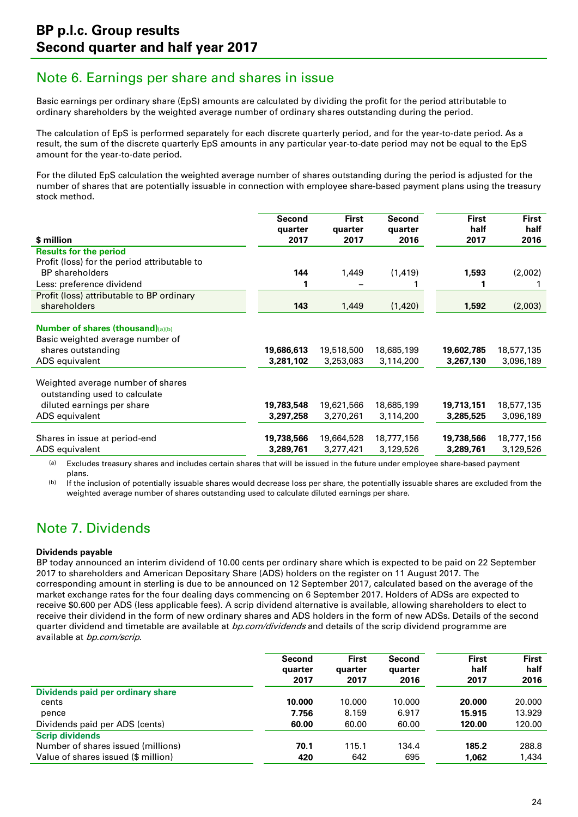## Note 6. Earnings per share and shares in issue

Basic earnings per ordinary share (EpS) amounts are calculated by dividing the profit for the period attributable to ordinary shareholders by the weighted average number of ordinary shares outstanding during the period.

The calculation of EpS is performed separately for each discrete quarterly period, and for the year-to-date period. As a result, the sum of the discrete quarterly EpS amounts in any particular year-to-date period may not be equal to the EpS amount for the year-to-date period.

For the diluted EpS calculation the weighted average number of shares outstanding during the period is adjusted for the number of shares that are potentially issuable in connection with employee share-based payment plans using the treasury stock method.

|                                                                                                                       | Second<br>quarter       | <b>First</b><br>quarter | <b>Second</b><br>quarter | <b>First</b><br>half    | <b>First</b><br>half    |
|-----------------------------------------------------------------------------------------------------------------------|-------------------------|-------------------------|--------------------------|-------------------------|-------------------------|
| \$ million                                                                                                            | 2017                    | 2017                    | 2016                     | 2017                    | 2016                    |
| <b>Results for the period</b>                                                                                         |                         |                         |                          |                         |                         |
| Profit (loss) for the period attributable to                                                                          |                         |                         |                          |                         |                         |
| <b>BP</b> shareholders                                                                                                | 144                     | 1,449                   | (1, 419)                 | 1,593                   | (2,002)                 |
| Less: preference dividend                                                                                             |                         |                         |                          |                         |                         |
| Profit (loss) attributable to BP ordinary                                                                             |                         |                         |                          |                         |                         |
| shareholders                                                                                                          | 143                     | 1,449                   | (1,420)                  | 1,592                   | (2,003)                 |
| <b>Number of shares (thousand)</b> (a)(b)<br>Basic weighted average number of<br>shares outstanding<br>ADS equivalent | 19,686,613<br>3,281,102 | 19,518,500<br>3,253,083 | 18,685,199<br>3,114,200  | 19,602,785<br>3,267,130 | 18,577,135<br>3,096,189 |
| Weighted average number of shares<br>outstanding used to calculate<br>diluted earnings per share<br>ADS equivalent    | 19,783,548<br>3,297,258 | 19,621,566<br>3,270,261 | 18,685,199<br>3,114,200  | 19,713,151<br>3,285,525 | 18,577,135<br>3,096,189 |
| Shares in issue at period-end<br>ADS equivalent                                                                       | 19,738,566<br>3,289,761 | 19,664,528<br>3,277,421 | 18,777,156<br>3,129,526  | 19,738,566<br>3,289,761 | 18,777,156<br>3,129,526 |

 $(a)$  Excludes treasury shares and includes certain shares that will be issued in the future under employee share-based payment plans.

(b) If the inclusion of potentially issuable shares would decrease loss per share, the potentially issuable shares are excluded from the weighted average number of shares outstanding used to calculate diluted earnings per share.

## Note 7. Dividends

### **Dividends payable**

BP today announced an interim dividend of 10.00 cents per ordinary share which is expected to be paid on 22 September 2017 to shareholders and American Depositary Share (ADS) holders on the register on 11 August 2017. The corresponding amount in sterling is due to be announced on 12 September 2017, calculated based on the average of the market exchange rates for the four dealing days commencing on 6 September 2017. Holders of ADSs are expected to receive \$0.600 per ADS (less applicable fees). A scrip dividend alternative is available, allowing shareholders to elect to receive their dividend in the form of new ordinary shares and ADS holders in the form of new ADSs. Details of the second quarter dividend and timetable are available at *bp.com/dividends* and details of the scrip dividend programme are available at bp.com/scrip.

|                                     | Second<br>quarter<br>2017 | <b>First</b><br>quarter<br>2017 | Second<br>quarter<br>2016 | First<br>half<br>2017 | <b>First</b><br>half<br>2016 |
|-------------------------------------|---------------------------|---------------------------------|---------------------------|-----------------------|------------------------------|
| Dividends paid per ordinary share   |                           |                                 |                           |                       |                              |
| cents                               | 10.000                    | 10.000                          | 10,000                    | 20.000                | 20,000                       |
| pence                               | 7.756                     | 8.159                           | 6.917                     | 15.915                | 13.929                       |
| Dividends paid per ADS (cents)      | 60.00                     | 60.00                           | 60.00                     | 120.00                | 120.00                       |
| <b>Scrip dividends</b>              |                           |                                 |                           |                       |                              |
| Number of shares issued (millions)  | 70.1                      | 115.1                           | 134.4                     | 185.2                 | 288.8                        |
| Value of shares issued (\$ million) | 420                       | 642                             | 695                       | 1,062                 | 1,434                        |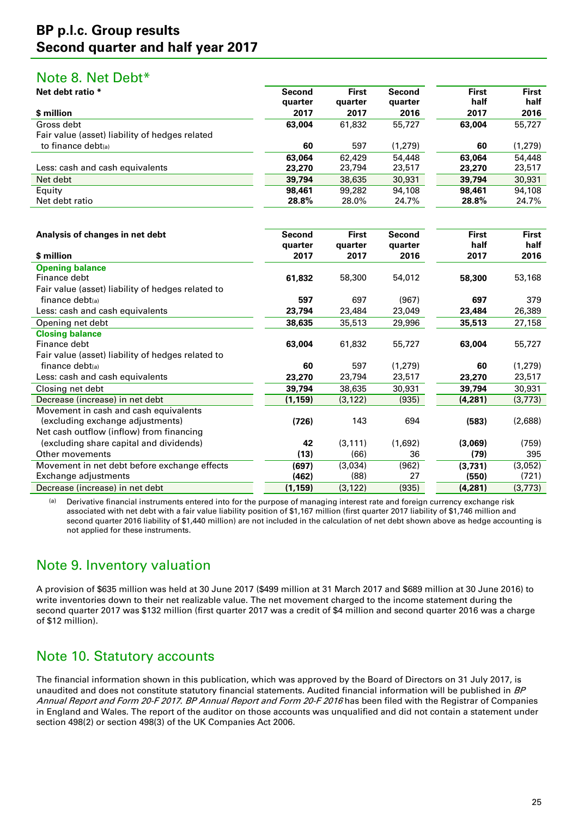### Note 8. Net Debt\*

| Net debt ratio *                               | Second<br>quarter | <b>First</b><br>quarter | Second<br>quarter | <b>First</b><br>half | <b>First</b><br>half |
|------------------------------------------------|-------------------|-------------------------|-------------------|----------------------|----------------------|
| \$ million                                     | 2017              | 2017                    | 2016              | 2017                 | 2016                 |
| Gross debt                                     | 63,004            | 61,832                  | 55,727            | 63,004               | 55,727               |
| Fair value (asset) liability of hedges related |                   |                         |                   |                      |                      |
| to finance debt(a)                             | 60                | 597                     | (1, 279)          | 60                   | (1, 279)             |
|                                                | 63,064            | 62,429                  | 54,448            | 63,064               | 54,448               |
| Less: cash and cash equivalents                | 23,270            | 23,794                  | 23,517            | 23,270               | 23,517               |
| Net debt                                       | 39,794            | 38,635                  | 30,931            | 39,794               | 30,931               |
| Equity                                         | 98,461            | 99,282                  | 94,108            | 98,461               | 94,108               |
| Net debt ratio                                 | 28.8%             | 28.0%                   | 24.7%             | 28.8%                | 24.7%                |
|                                                |                   |                         |                   |                      |                      |

| Analysis of changes in net debt                   | Second          | <b>First</b>    | <b>Second</b>   | <b>First</b> | <b>First</b> |
|---------------------------------------------------|-----------------|-----------------|-----------------|--------------|--------------|
| \$ million                                        | quarter<br>2017 | quarter<br>2017 | quarter<br>2016 | half<br>2017 | half<br>2016 |
|                                                   |                 |                 |                 |              |              |
| <b>Opening balance</b>                            |                 |                 |                 |              |              |
| Finance debt                                      | 61,832          | 58,300          | 54,012          | 58,300       | 53,168       |
| Fair value (asset) liability of hedges related to |                 |                 |                 |              |              |
| finance $debt$ (a)                                | 597             | 697             | (967)           | 697          | 379          |
| Less: cash and cash equivalents                   | 23,794          | 23,484          | 23,049          | 23,484       | 26,389       |
| Opening net debt                                  | 38,635          | 35,513          | 29,996          | 35,513       | 27,158       |
| <b>Closing balance</b>                            |                 |                 |                 |              |              |
| Finance debt                                      | 63,004          | 61,832          | 55,727          | 63,004       | 55,727       |
| Fair value (asset) liability of hedges related to |                 |                 |                 |              |              |
| finance $debt$ (a)                                | 60              | 597             | (1, 279)        | 60           | (1, 279)     |
| Less: cash and cash equivalents                   | 23,270          | 23,794          | 23,517          | 23,270       | 23,517       |
| Closing net debt                                  | 39,794          | 38,635          | 30,931          | 39,794       | 30,931       |
| Decrease (increase) in net debt                   | (1, 159)        | (3, 122)        | (935)           | (4,281)      | (3,773)      |
| Movement in cash and cash equivalents             |                 |                 |                 |              |              |
| (excluding exchange adjustments)                  | (726)           | 143             | 694             | (583)        | (2,688)      |
| Net cash outflow (inflow) from financing          |                 |                 |                 |              |              |
| (excluding share capital and dividends)           | 42              | (3, 111)        | (1,692)         | (3,069)      | (759)        |
| Other movements                                   | (13)            | (66)            | 36              | (79)         | 395          |
| Movement in net debt before exchange effects      | (697)           | (3,034)         | (962)           | (3,731)      | (3,052)      |
| Exchange adjustments                              | (462)           | (88)            | 27              | (550)        | (721)        |
| Decrease (increase) in net debt                   | (1, 159)        | (3, 122)        | (935)           | (4,281)      | (3,773)      |

(a) Derivative financial instruments entered into for the purpose of managing interest rate and foreign currency exchange risk associated with net debt with a fair value liability position of \$1,167 million (first quarter 2017 liability of \$1,746 million and second quarter 2016 liability of \$1,440 million) are not included in the calculation of net debt shown above as hedge accounting is not applied for these instruments.

## Note 9. Inventory valuation

A provision of \$635 million was held at 30 June 2017 (\$499 million at 31 March 2017 and \$689 million at 30 June 2016) to write inventories down to their net realizable value. The net movement charged to the income statement during the second quarter 2017 was \$132 million (first quarter 2017 was a credit of \$4 million and second quarter 2016 was a charge of \$12 million).

### Note 10. Statutory accounts

The financial information shown in this publication, which was approved by the Board of Directors on 31 July 2017, is unaudited and does not constitute statutory financial statements. Audited financial information will be published in BP Annual Report and Form 20-F 2017. BP Annual Report and Form 20-F 2016 has been filed with the Registrar of Companies in England and Wales. The report of the auditor on those accounts was unqualified and did not contain a statement under section 498(2) or section 498(3) of the UK Companies Act 2006.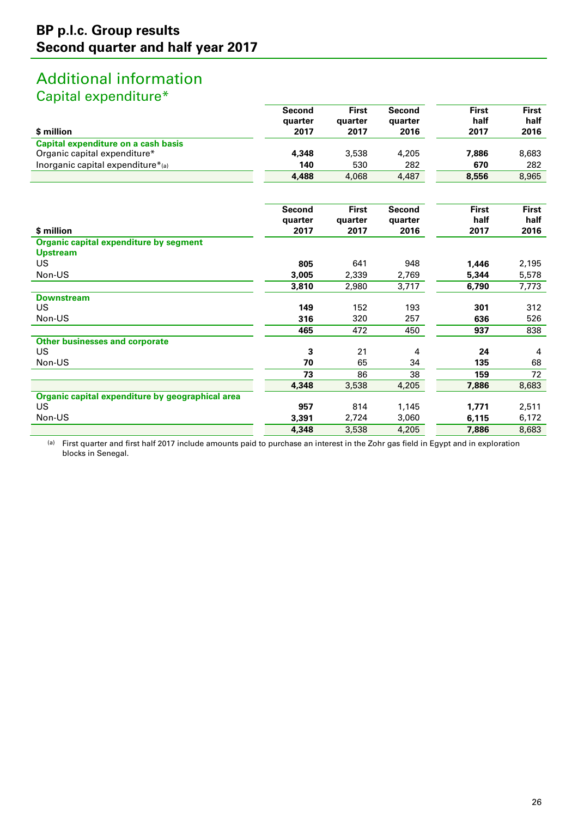## Additional information Capital expenditure\*

|                                                           | Second        | <b>First</b> | Second  | <b>First</b> | <b>First</b> |
|-----------------------------------------------------------|---------------|--------------|---------|--------------|--------------|
|                                                           | quarter       | quarter      | quarter | half         | half         |
| \$ million                                                | 2017          | 2017         | 2016    | 2017         | 2016         |
| Capital expenditure on a cash basis                       |               |              |         |              |              |
| Organic capital expenditure*                              | 4,348         | 3,538        | 4,205   | 7,886        | 8,683        |
| Inorganic capital expenditure*(a)                         | 140           | 530          | 282     | 670          | 282          |
|                                                           | 4,488         | 4,068        | 4,487   | 8,556        | 8,965        |
|                                                           | <b>Second</b> | <b>First</b> | Second  | <b>First</b> | <b>First</b> |
|                                                           | quarter       | quarter      | quarter | half         | half         |
| \$ million                                                | 2017          | 2017         | 2016    | 2017         | 2016         |
| Organic capital expenditure by segment<br><b>Upstream</b> |               |              |         |              |              |
| US                                                        | 805           | 641          | 948     | 1,446        | 2,195        |
| Non-US                                                    | 3,005         | 2,339        | 2,769   | 5,344        | 5,578        |
|                                                           | 3,810         | 2,980        | 3,717   | 6,790        | 7,773        |
| <b>Downstream</b>                                         |               |              |         |              |              |
| US                                                        | 149           | 152          | 193     | 301          | 312          |
| Non-US                                                    | 316           | 320          | 257     | 636          | 526          |
|                                                           | 465           | 472          | 450     | 937          | 838          |
| <b>Other businesses and corporate</b>                     |               |              |         |              |              |
| US                                                        | 3             | 21           | 4       | 24           | 4            |
| Non-US                                                    | 70            | 65           | 34      | 135          | 68           |
|                                                           | 73            | 86           | 38      | 159          | 72           |
|                                                           | 4,348         | 3,538        | 4,205   | 7,886        | 8,683        |
| Organic capital expenditure by geographical area          |               |              |         |              |              |
| US                                                        | 957           | 814          | 1,145   | 1,771        | 2,511        |
| Non-US                                                    | 3,391         | 2,724        | 3,060   | 6,115        | 6,172        |
|                                                           | 4,348         | 3,538        | 4,205   | 7,886        | 8,683        |

(a) First quarter and first half 2017 include amounts paid to purchase an interest in the Zohr gas field in Egypt and in exploration blocks in Senegal.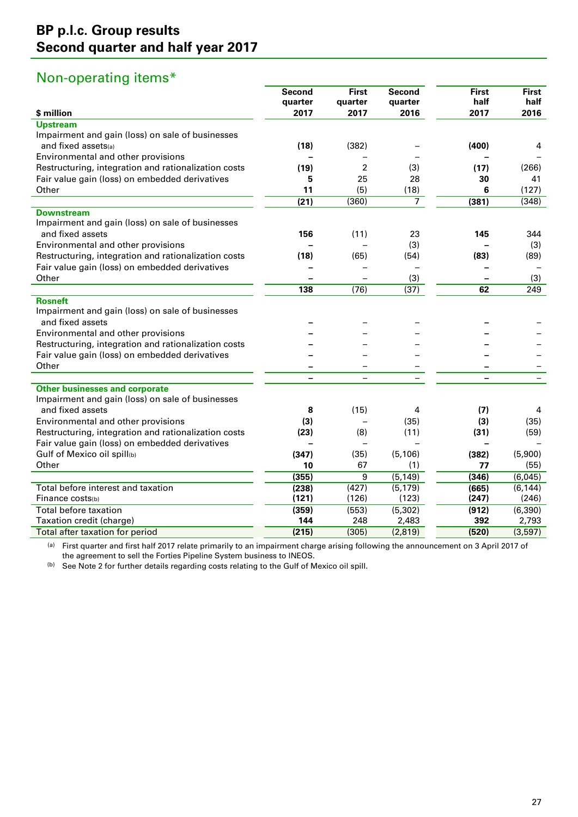## Non-operating items\*

|                                                      | Second<br>quarter        | <b>First</b><br>quarter | Second<br>quarter | First<br>half            | <b>First</b><br>half |
|------------------------------------------------------|--------------------------|-------------------------|-------------------|--------------------------|----------------------|
| \$ million                                           | 2017                     | 2017                    | 2016              | 2017                     | 2016                 |
| <b>Upstream</b>                                      |                          |                         |                   |                          |                      |
| Impairment and gain (loss) on sale of businesses     |                          |                         |                   |                          |                      |
| and fixed assets(a)                                  | (18)                     | (382)                   |                   | (400)                    | 4                    |
| Environmental and other provisions                   |                          |                         |                   |                          |                      |
| Restructuring, integration and rationalization costs | (19)                     | $\overline{2}$          | (3)               | (17)                     | (266)                |
| Fair value gain (loss) on embedded derivatives       | 5                        | 25                      | 28                | 30                       | 41                   |
| Other                                                | 11                       | (5)                     | (18)              | 6                        | (127)                |
|                                                      | (21)                     | (360)                   | 7                 | (381)                    | (348)                |
| <b>Downstream</b>                                    |                          |                         |                   |                          |                      |
| Impairment and gain (loss) on sale of businesses     |                          |                         |                   |                          |                      |
| and fixed assets                                     | 156                      | (11)                    | 23                | 145                      | 344                  |
| Environmental and other provisions                   |                          |                         | (3)               |                          | (3)                  |
| Restructuring, integration and rationalization costs | (18)                     | (65)                    | (54)              | (83)                     | (89)                 |
| Fair value gain (loss) on embedded derivatives       |                          |                         |                   |                          |                      |
| Other                                                |                          |                         | (3)               |                          | (3)                  |
|                                                      | 138                      | (76)                    | (37)              | 62                       | 249                  |
| <b>Rosneft</b>                                       |                          |                         |                   |                          |                      |
| Impairment and gain (loss) on sale of businesses     |                          |                         |                   |                          |                      |
| and fixed assets                                     |                          |                         |                   |                          |                      |
| Environmental and other provisions                   |                          |                         |                   |                          |                      |
| Restructuring, integration and rationalization costs |                          |                         |                   |                          |                      |
| Fair value gain (loss) on embedded derivatives       |                          |                         |                   |                          |                      |
| Other                                                |                          |                         |                   |                          |                      |
|                                                      | $\overline{\phantom{0}}$ | $\equiv$                | $\equiv$          | $\overline{\phantom{0}}$ |                      |
| <b>Other businesses and corporate</b>                |                          |                         |                   |                          |                      |
| Impairment and gain (loss) on sale of businesses     |                          |                         |                   |                          |                      |
| and fixed assets                                     | 8                        | (15)                    | 4                 | (7)                      | 4                    |
| Environmental and other provisions                   | (3)                      |                         | (35)              | (3)                      | (35)                 |
| Restructuring, integration and rationalization costs | (23)                     | (8)                     | (11)              | (31)                     | (59)                 |
| Fair value gain (loss) on embedded derivatives       |                          |                         |                   |                          |                      |
| Gulf of Mexico oil spill(b)                          | (347)                    | (35)                    | (5, 106)          | (382)                    | (5,900)              |
| Other                                                | 10                       | 67                      | (1)               | 77                       | (55)                 |
| Total before interest and taxation                   | (355)                    | 9                       | (5, 149)          | (346)                    | (6,045)              |
| Finance costs(b)                                     | (238)                    | (427)<br>(126)          | (5, 179)<br>(123) | (665)<br>(247)           | (6, 144)             |
|                                                      | (121)                    |                         |                   |                          | (246)                |
| Total before taxation<br>Taxation credit (charge)    | (359)<br>144             | (553)<br>248            | (5,302)<br>2,483  | (912)<br>392             | (6, 390)<br>2,793    |
| Total after taxation for period                      | (215)                    | (305)                   | (2,819)           | (520)                    | (3,597)              |
|                                                      |                          |                         |                   |                          |                      |

(a) First quarter and first half 2017 relate primarily to an impairment charge arising following the announcement on 3 April 2017 of the agreement to sell the Forties Pipeline System business to INEOS.

(b) See Note 2 for further details regarding costs relating to the Gulf of Mexico oil spill.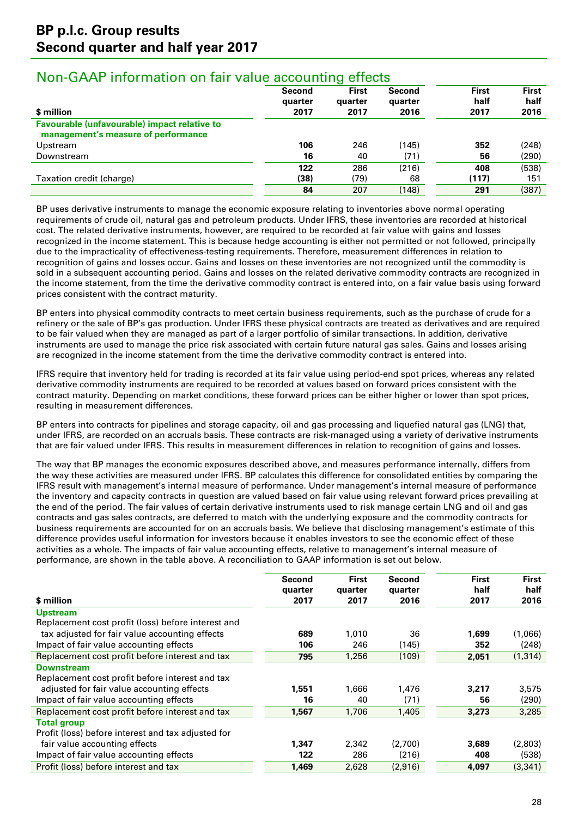## Non-GAAP information on fair value accounting effects

|                                                                                     | <b>Second</b> | <b>First</b> | <b>Second</b> | <b>First</b> | <b>First</b> |
|-------------------------------------------------------------------------------------|---------------|--------------|---------------|--------------|--------------|
|                                                                                     | quarter       | quarter      | quarter       | half         | half         |
| \$ million                                                                          | 2017          | 2017         | 2016          | 2017         | 2016         |
| Favourable (unfavourable) impact relative to<br>management's measure of performance |               |              |               |              |              |
| Upstream                                                                            | 106           | 246          | (145)         | 352          | (248)        |
| Downstream                                                                          | 16            | 40           | (71)          | 56           | (290)        |
|                                                                                     | 122           | 286          | (216)         | 408          | (538)        |
| Taxation credit (charge)                                                            | (38)          | (79)         | 68            | (117)        | 151          |
|                                                                                     | 84            | 207          | (148)         | 291          | (387)        |

BP uses derivative instruments to manage the economic exposure relating to inventories above normal operating requirements of crude oil, natural gas and petroleum products. Under IFRS, these inventories are recorded at historical cost. The related derivative instruments, however, are required to be recorded at fair value with gains and losses recognized in the income statement. This is because hedge accounting is either not permitted or not followed, principally due to the impracticality of effectiveness-testing requirements. Therefore, measurement differences in relation to recognition of gains and losses occur. Gains and losses on these inventories are not recognized until the commodity is sold in a subsequent accounting period. Gains and losses on the related derivative commodity contracts are recognized in the income statement, from the time the derivative commodity contract is entered into, on a fair value basis using forward prices consistent with the contract maturity.

BP enters into physical commodity contracts to meet certain business requirements, such as the purchase of crude for a refinery or the sale of BP's gas production. Under IFRS these physical contracts are treated as derivatives and are required to be fair valued when they are managed as part of a larger portfolio of similar transactions. In addition, derivative instruments are used to manage the price risk associated with certain future natural gas sales. Gains and losses arising are recognized in the income statement from the time the derivative commodity contract is entered into.

IFRS require that inventory held for trading is recorded at its fair value using period-end spot prices, whereas any related derivative commodity instruments are required to be recorded at values based on forward prices consistent with the contract maturity. Depending on market conditions, these forward prices can be either higher or lower than spot prices, resulting in measurement differences.

BP enters into contracts for pipelines and storage capacity, oil and gas processing and liquefied natural gas (LNG) that, under IFRS, are recorded on an accruals basis. These contracts are risk-managed using a variety of derivative instruments that are fair valued under IFRS. This results in measurement differences in relation to recognition of gains and losses.

The way that BP manages the economic exposures described above, and measures performance internally, differs from the way these activities are measured under IFRS. BP calculates this difference for consolidated entities by comparing the IFRS result with management's internal measure of performance. Under management's internal measure of performance the inventory and capacity contracts in question are valued based on fair value using relevant forward prices prevailing at the end of the period. The fair values of certain derivative instruments used to risk manage certain LNG and oil and gas contracts and gas sales contracts, are deferred to match with the underlying exposure and the commodity contracts for business requirements are accounted for on an accruals basis. We believe that disclosing management's estimate of this difference provides useful information for investors because it enables investors to see the economic effect of these activities as a whole. The impacts of fair value accounting effects, relative to management's internal measure of performance, are shown in the table above. A reconciliation to GAAP information is set out below.

|                                                    | Second<br>quarter | <b>First</b><br>quarter | Second<br>quarter | <b>First</b><br>half | <b>First</b><br>half |
|----------------------------------------------------|-------------------|-------------------------|-------------------|----------------------|----------------------|
| \$ million                                         | 2017              | 2017                    | 2016              | 2017                 | 2016                 |
| <b>Upstream</b>                                    |                   |                         |                   |                      |                      |
| Replacement cost profit (loss) before interest and |                   |                         |                   |                      |                      |
| tax adjusted for fair value accounting effects     | 689               | 1,010                   | 36                | 1,699                | (1,066)              |
| Impact of fair value accounting effects            | 106               | 246                     | (145)             | 352                  | (248)                |
| Replacement cost profit before interest and tax    | 795               | 1,256                   | (109)             | 2,051                | (1, 314)             |
| <b>Downstream</b>                                  |                   |                         |                   |                      |                      |
| Replacement cost profit before interest and tax    |                   |                         |                   |                      |                      |
| adjusted for fair value accounting effects         | 1,551             | 1,666                   | 1.476             | 3,217                | 3,575                |
| Impact of fair value accounting effects            | 16                | 40                      | (71)              | 56                   | (290)                |
| Replacement cost profit before interest and tax    | 1,567             | 1.706                   | 1,405             | 3.273                | 3,285                |
| <b>Total group</b>                                 |                   |                         |                   |                      |                      |
| Profit (loss) before interest and tax adjusted for |                   |                         |                   |                      |                      |
| fair value accounting effects                      | 1,347             | 2,342                   | (2.700)           | 3,689                | (2,803)              |
| Impact of fair value accounting effects            | 122               | 286                     | (216)             | 408                  | (538)                |
| Profit (loss) before interest and tax              | 1,469             | 2.628                   | (2.916)           | 4,097                | (3.341)              |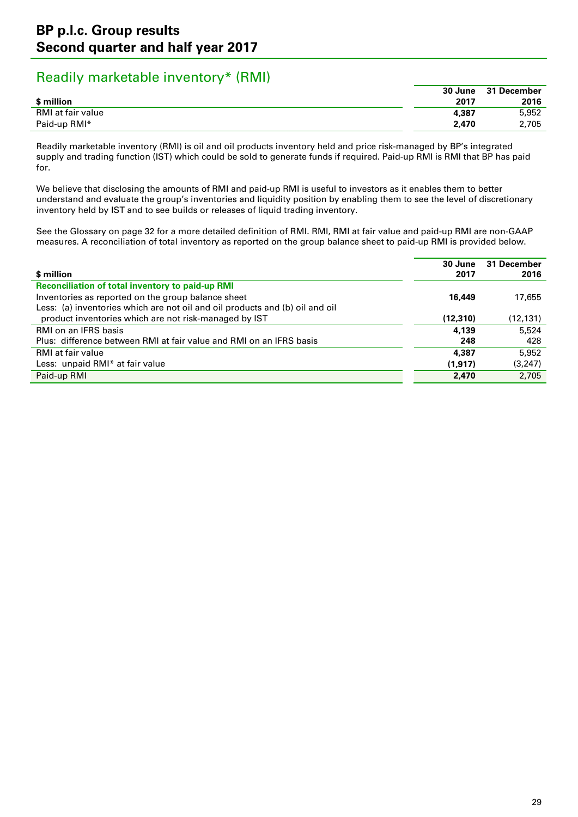## Readily marketable inventory\* (RMI)

|                   | 30 June | 31 December |
|-------------------|---------|-------------|
| \$ million        | 2017    | 2016        |
| RMI at fair value | 4,387   | 5,952       |
| Paid-up RMI*      | 2,470   | 2,705       |

Readily marketable inventory (RMI) is oil and oil products inventory held and price risk-managed by BP's integrated supply and trading function (IST) which could be sold to generate funds if required. Paid-up RMI is RMI that BP has paid for.

We believe that disclosing the amounts of RMI and paid-up RMI is useful to investors as it enables them to better understand and evaluate the group's inventories and liquidity position by enabling them to see the level of discretionary inventory held by IST and to see builds or releases of liquid trading inventory.

See the Glossary on page 32 for a more detailed definition of RMI. RMI, RMI at fair value and paid-up RMI are non-GAAP measures. A reconciliation of total inventory as reported on the group balance sheet to paid-up RMI is provided below.

| \$ million                                                                   | 30 June<br>2017 | 31 December<br>2016 |
|------------------------------------------------------------------------------|-----------------|---------------------|
| <b>Reconciliation of total inventory to paid-up RMI</b>                      |                 |                     |
| Inventories as reported on the group balance sheet                           | 16,449          | 17,655              |
| Less: (a) inventories which are not oil and oil products and (b) oil and oil |                 |                     |
| product inventories which are not risk-managed by IST                        | (12, 310)       | (12, 131)           |
| RMI on an IFRS basis                                                         | 4,139           | 5.524               |
| Plus: difference between RMI at fair value and RMI on an IFRS basis          | 248             | 428                 |
| RMI at fair value                                                            | 4,387           | 5,952               |
| Less: unpaid RMI* at fair value                                              | (1, 917)        | (3, 247)            |
| Paid-up RMI                                                                  | 2,470           | 2,705               |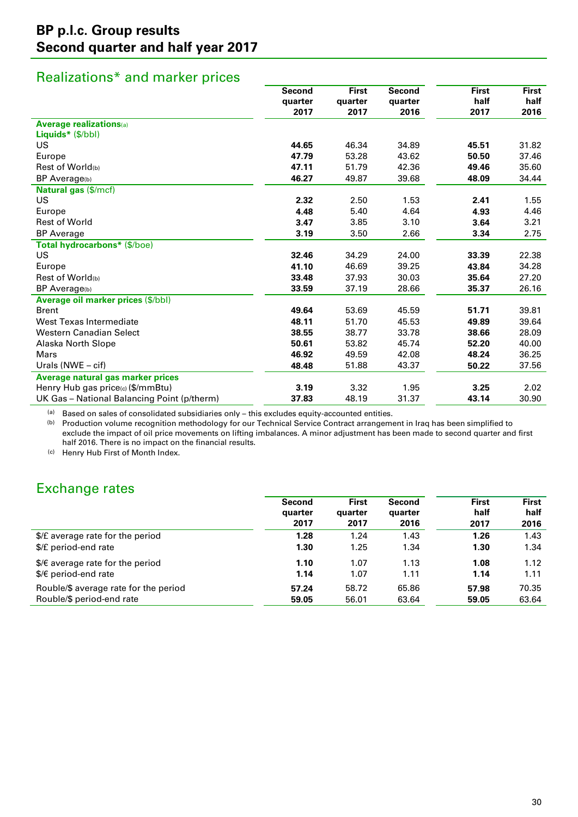## Realizations\* and marker prices

| half<br>quarter<br>half<br>quarter<br>quarter<br>2017<br>2017<br>2017<br>2016<br>2016<br><b>Average realizations(a)</b><br>Liquids $*(\frac{\sqrt{2}}{2})$<br>US<br>44.65<br>46.34<br>34.89<br>45.51<br>31.82<br>53.28<br>43.62<br>37.46<br>Europe<br>47.79<br>50.50<br>Rest of World(b)<br>51.79<br>42.36<br>35.60<br>47.11<br>49.46<br>46.27<br>49.87<br>39.68<br>48.09<br>34.44<br>BP Average(b) |
|-----------------------------------------------------------------------------------------------------------------------------------------------------------------------------------------------------------------------------------------------------------------------------------------------------------------------------------------------------------------------------------------------------|
|                                                                                                                                                                                                                                                                                                                                                                                                     |
|                                                                                                                                                                                                                                                                                                                                                                                                     |
|                                                                                                                                                                                                                                                                                                                                                                                                     |
|                                                                                                                                                                                                                                                                                                                                                                                                     |
|                                                                                                                                                                                                                                                                                                                                                                                                     |
|                                                                                                                                                                                                                                                                                                                                                                                                     |
|                                                                                                                                                                                                                                                                                                                                                                                                     |
|                                                                                                                                                                                                                                                                                                                                                                                                     |
| Natural gas (\$/mcf)                                                                                                                                                                                                                                                                                                                                                                                |
| US<br>2.50<br>2.32<br>1.53<br>2.41<br>1.55                                                                                                                                                                                                                                                                                                                                                          |
| 4.48<br>5.40<br>4.64<br>4.93<br>4.46<br>Europe                                                                                                                                                                                                                                                                                                                                                      |
| 3.47<br><b>Rest of World</b><br>3.85<br>3.10<br>3.64<br>3.21                                                                                                                                                                                                                                                                                                                                        |
| 3.19<br>2.66<br>2.75<br><b>BP</b> Average<br>3.50<br>3.34                                                                                                                                                                                                                                                                                                                                           |
| Total hydrocarbons* (\$/boe)                                                                                                                                                                                                                                                                                                                                                                        |
| US<br>32.46<br>33.39<br>34.29<br>24.00<br>22.38                                                                                                                                                                                                                                                                                                                                                     |
| 41.10<br>34.28<br>46.69<br>39.25<br>43.84<br>Europe                                                                                                                                                                                                                                                                                                                                                 |
| Rest of World(b)<br>33.48<br>37.93<br>30.03<br>35.64<br>27.20                                                                                                                                                                                                                                                                                                                                       |
| 26.16<br>33.59<br>37.19<br>28.66<br>35.37<br>BP Average(b)                                                                                                                                                                                                                                                                                                                                          |
| Average oil marker prices (\$/bbl)                                                                                                                                                                                                                                                                                                                                                                  |
| 51.71<br>39.81<br>49.64<br>53.69<br>45.59<br><b>Brent</b>                                                                                                                                                                                                                                                                                                                                           |
| West Texas Intermediate<br>48.11<br>51.70<br>45.53<br>49.89<br>39.64                                                                                                                                                                                                                                                                                                                                |
| <b>Western Canadian Select</b><br>38.55<br>38.77<br>38.66<br>28.09<br>33.78                                                                                                                                                                                                                                                                                                                         |
| 52.20<br>50.61<br>53.82<br>45.74<br>40.00<br>Alaska North Slope                                                                                                                                                                                                                                                                                                                                     |
| 46.92<br>49.59<br>42.08<br>48.24<br>36.25<br>Mars                                                                                                                                                                                                                                                                                                                                                   |
| Urals ( $NWE - cif$ )<br>48.48<br>51.88<br>43.37<br>50.22<br>37.56                                                                                                                                                                                                                                                                                                                                  |
| Average natural gas marker prices                                                                                                                                                                                                                                                                                                                                                                   |
| Henry Hub gas price(c) (\$/mmBtu)<br>3.19<br>3.32<br>1.95<br>3.25<br>2.02                                                                                                                                                                                                                                                                                                                           |
| UK Gas - National Balancing Point (p/therm)<br>48.19<br>31.37<br>30.90<br>37.83<br>43.14                                                                                                                                                                                                                                                                                                            |

(a) Based on sales of consolidated subsidiaries only – this excludes equity-accounted entities.

(b) Production volume recognition methodology for our Technical Service Contract arrangement in Iraq has been simplified to exclude the impact of oil price movements on lifting imbalances. A minor adjustment has been made to second quarter and first half 2016. There is no impact on the financial results.

(c) Henry Hub First of Month Index.

## Exchange rates

|                                           | <b>Second</b><br>quarter<br>2017 | <b>First</b><br>quarter<br>2017 | <b>Second</b><br>quarter<br>2016 | <b>First</b><br>half<br>2017 | <b>First</b><br>half<br>2016 |
|-------------------------------------------|----------------------------------|---------------------------------|----------------------------------|------------------------------|------------------------------|
| \$/£ average rate for the period          | 1.28                             | 1.24                            | 1.43                             | 1.26                         | 1.43                         |
| \$/£ period-end rate                      | 1.30                             | 1.25                            | 1.34                             | 1.30                         | 1.34                         |
| $\frac{1}{2}$ average rate for the period | 1.10                             | 1.07                            | 1.13                             | 1.08                         | 1.12                         |
| $\frac{1}{2}$ period-end rate             | 1.14                             | 1.07                            | 1.11                             | 1.14                         | 1.11                         |
| Rouble/\$ average rate for the period     | 57.24                            | 58.72                           | 65.86                            | 57.98                        | 70.35                        |
| Rouble/\$ period-end rate                 | 59.05                            | 56.01                           | 63.64                            | 59.05                        | 63.64                        |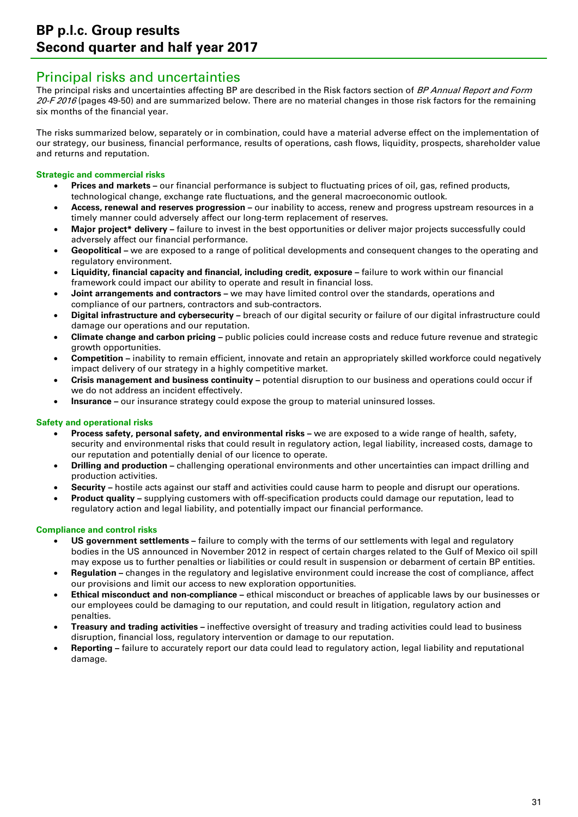## Principal risks and uncertainties

The principal risks and uncertainties affecting BP are described in the Risk factors section of BP Annual Report and Form 20-F 2016 (pages 49-50) and are summarized below. There are no material changes in those risk factors for the remaining six months of the financial year.

The risks summarized below, separately or in combination, could have a material adverse effect on the implementation of our strategy, our business, financial performance, results of operations, cash flows, liquidity, prospects, shareholder value and returns and reputation.

### **Strategic and commercial risks**

- **Prices and markets –** our financial performance is subject to fluctuating prices of oil, gas, refined products, technological change, exchange rate fluctuations, and the general macroeconomic outlook.
- **Access, renewal and reserves progression –** our inability to access, renew and progress upstream resources in a timely manner could adversely affect our long-term replacement of reserves.
- **Major project\* delivery –** failure to invest in the best opportunities or deliver major projects successfully could adversely affect our financial performance.
- **Geopolitical –** we are exposed to a range of political developments and consequent changes to the operating and regulatory environment.
- **Liquidity, financial capacity and financial, including credit, exposure –** failure to work within our financial framework could impact our ability to operate and result in financial loss.
- **Joint arrangements and contractors –** we may have limited control over the standards, operations and compliance of our partners, contractors and sub-contractors.
- **Digital infrastructure and cybersecurity –** breach of our digital security or failure of our digital infrastructure could damage our operations and our reputation.
- **Climate change and carbon pricing –** public policies could increase costs and reduce future revenue and strategic growth opportunities.
- **Competition –** inability to remain efficient, innovate and retain an appropriately skilled workforce could negatively impact delivery of our strategy in a highly competitive market.
- **Crisis management and business continuity –** potential disruption to our business and operations could occur if we do not address an incident effectively.
- **Insurance –** our insurance strategy could expose the group to material uninsured losses.

### **Safety and operational risks**

- **Process safety, personal safety, and environmental risks –** we are exposed to a wide range of health, safety, security and environmental risks that could result in regulatory action, legal liability, increased costs, damage to our reputation and potentially denial of our licence to operate.
- **Drilling and production –** challenging operational environments and other uncertainties can impact drilling and production activities.
- **Security –** hostile acts against our staff and activities could cause harm to people and disrupt our operations.
- **Product quality –** supplying customers with off-specification products could damage our reputation, lead to regulatory action and legal liability, and potentially impact our financial performance.

### **Compliance and control risks**

- **US government settlements –** failure to comply with the terms of our settlements with legal and regulatory bodies in the US announced in November 2012 in respect of certain charges related to the Gulf of Mexico oil spill may expose us to further penalties or liabilities or could result in suspension or debarment of certain BP entities.
- **Regulation –** changes in the regulatory and legislative environment could increase the cost of compliance, affect our provisions and limit our access to new exploration opportunities.
- **Ethical misconduct and non-compliance –** ethical misconduct or breaches of applicable laws by our businesses or our employees could be damaging to our reputation, and could result in litigation, regulatory action and penalties.
- **Treasury and trading activities –** ineffective oversight of treasury and trading activities could lead to business disruption, financial loss, regulatory intervention or damage to our reputation.
- **Reporting –** failure to accurately report our data could lead to regulatory action, legal liability and reputational damage.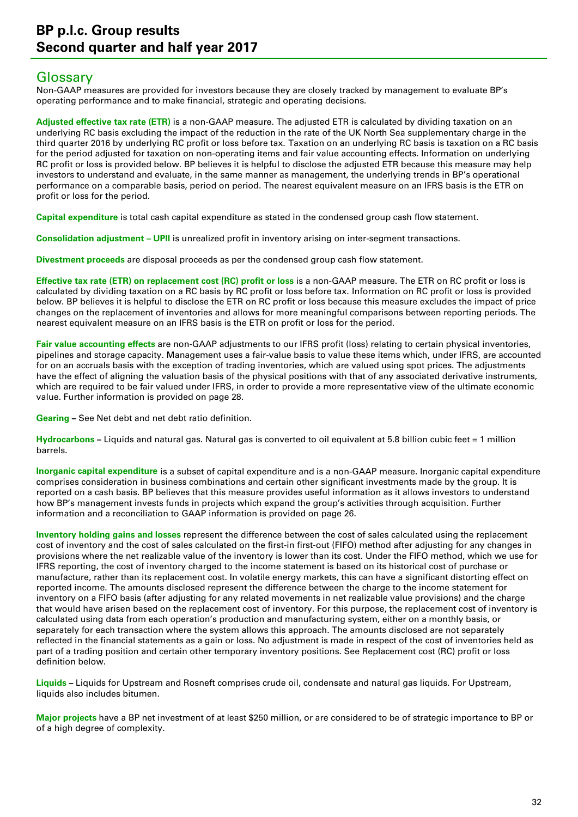### Glossary

Non-GAAP measures are provided for investors because they are closely tracked by management to evaluate BP's operating performance and to make financial, strategic and operating decisions.

**Adjusted effective tax rate (ETR)** is a non-GAAP measure. The adjusted ETR is calculated by dividing taxation on an underlying RC basis excluding the impact of the reduction in the rate of the UK North Sea supplementary charge in the third quarter 2016 by underlying RC profit or loss before tax. Taxation on an underlying RC basis is taxation on a RC basis for the period adjusted for taxation on non-operating items and fair value accounting effects. Information on underlying RC profit or loss is provided below. BP believes it is helpful to disclose the adjusted ETR because this measure may help investors to understand and evaluate, in the same manner as management, the underlying trends in BP's operational performance on a comparable basis, period on period. The nearest equivalent measure on an IFRS basis is the ETR on profit or loss for the period.

**Capital expenditure** is total cash capital expenditure as stated in the condensed group cash flow statement.

**Consolidation adjustment – UPII** is unrealized profit in inventory arising on inter-segment transactions.

**Divestment proceeds** are disposal proceeds as per the condensed group cash flow statement.

**Effective tax rate (ETR) on replacement cost (RC) profit or loss** is a non-GAAP measure. The ETR on RC profit or loss is calculated by dividing taxation on a RC basis by RC profit or loss before tax. Information on RC profit or loss is provided below. BP believes it is helpful to disclose the ETR on RC profit or loss because this measure excludes the impact of price changes on the replacement of inventories and allows for more meaningful comparisons between reporting periods. The nearest equivalent measure on an IFRS basis is the ETR on profit or loss for the period.

**Fair value accounting effects** are non-GAAP adjustments to our IFRS profit (loss) relating to certain physical inventories, pipelines and storage capacity. Management uses a fair-value basis to value these items which, under IFRS, are accounted for on an accruals basis with the exception of trading inventories, which are valued using spot prices. The adjustments have the effect of aligning the valuation basis of the physical positions with that of any associated derivative instruments, which are required to be fair valued under IFRS, in order to provide a more representative view of the ultimate economic value. Further information is provided on page 28.

**Gearing –** See Net debt and net debt ratio definition.

**Hydrocarbons –** Liquids and natural gas. Natural gas is converted to oil equivalent at 5.8 billion cubic feet = 1 million barrels.

**Inorganic capital expenditure** is a subset of capital expenditure and is a non-GAAP measure. Inorganic capital expenditure comprises consideration in business combinations and certain other significant investments made by the group. It is reported on a cash basis. BP believes that this measure provides useful information as it allows investors to understand how BP's management invests funds in projects which expand the group's activities through acquisition. Further information and a reconciliation to GAAP information is provided on page 26.

**Inventory holding gains and losses** represent the difference between the cost of sales calculated using the replacement cost of inventory and the cost of sales calculated on the first-in first-out (FIFO) method after adjusting for any changes in provisions where the net realizable value of the inventory is lower than its cost. Under the FIFO method, which we use for IFRS reporting, the cost of inventory charged to the income statement is based on its historical cost of purchase or manufacture, rather than its replacement cost. In volatile energy markets, this can have a significant distorting effect on reported income. The amounts disclosed represent the difference between the charge to the income statement for inventory on a FIFO basis (after adjusting for any related movements in net realizable value provisions) and the charge that would have arisen based on the replacement cost of inventory. For this purpose, the replacement cost of inventory is calculated using data from each operation's production and manufacturing system, either on a monthly basis, or separately for each transaction where the system allows this approach. The amounts disclosed are not separately reflected in the financial statements as a gain or loss. No adjustment is made in respect of the cost of inventories held as part of a trading position and certain other temporary inventory positions. See Replacement cost (RC) profit or loss definition below.

**Liquids –** Liquids for Upstream and Rosneft comprises crude oil, condensate and natural gas liquids. For Upstream, liquids also includes bitumen.

**Major projects** have a BP net investment of at least \$250 million, or are considered to be of strategic importance to BP or of a high degree of complexity.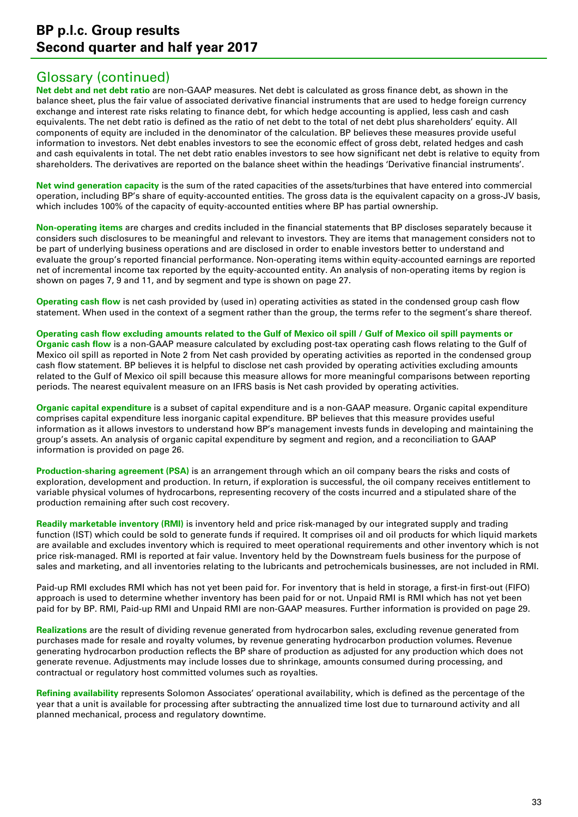### Glossary (continued)

**Net debt and net debt ratio** are non-GAAP measures. Net debt is calculated as gross finance debt, as shown in the balance sheet, plus the fair value of associated derivative financial instruments that are used to hedge foreign currency exchange and interest rate risks relating to finance debt, for which hedge accounting is applied, less cash and cash equivalents. The net debt ratio is defined as the ratio of net debt to the total of net debt plus shareholders' equity. All components of equity are included in the denominator of the calculation. BP believes these measures provide useful information to investors. Net debt enables investors to see the economic effect of gross debt, related hedges and cash and cash equivalents in total. The net debt ratio enables investors to see how significant net debt is relative to equity from shareholders. The derivatives are reported on the balance sheet within the headings 'Derivative financial instruments'.

**Net wind generation capacity** is the sum of the rated capacities of the assets/turbines that have entered into commercial operation, including BP's share of equity-accounted entities. The gross data is the equivalent capacity on a gross-JV basis, which includes 100% of the capacity of equity-accounted entities where BP has partial ownership.

**Non-operating items** are charges and credits included in the financial statements that BP discloses separately because it considers such disclosures to be meaningful and relevant to investors. They are items that management considers not to be part of underlying business operations and are disclosed in order to enable investors better to understand and evaluate the group's reported financial performance. Non-operating items within equity-accounted earnings are reported net of incremental income tax reported by the equity-accounted entity. An analysis of non-operating items by region is shown on pages 7, 9 and 11, and by segment and type is shown on page 27.

**Operating cash flow** is net cash provided by (used in) operating activities as stated in the condensed group cash flow statement. When used in the context of a segment rather than the group, the terms refer to the segment's share thereof.

#### **Operating cash flow excluding amounts related to the Gulf of Mexico oil spill / Gulf of Mexico oil spill payments or**

**Organic cash flow** is a non-GAAP measure calculated by excluding post-tax operating cash flows relating to the Gulf of Mexico oil spill as reported in Note 2 from Net cash provided by operating activities as reported in the condensed group cash flow statement. BP believes it is helpful to disclose net cash provided by operating activities excluding amounts related to the Gulf of Mexico oil spill because this measure allows for more meaningful comparisons between reporting periods. The nearest equivalent measure on an IFRS basis is Net cash provided by operating activities.

**Organic capital expenditure** is a subset of capital expenditure and is a non-GAAP measure. Organic capital expenditure comprises capital expenditure less inorganic capital expenditure. BP believes that this measure provides useful information as it allows investors to understand how BP's management invests funds in developing and maintaining the group's assets. An analysis of organic capital expenditure by segment and region, and a reconciliation to GAAP information is provided on page 26.

**Production-sharing agreement (PSA)** is an arrangement through which an oil company bears the risks and costs of exploration, development and production. In return, if exploration is successful, the oil company receives entitlement to variable physical volumes of hydrocarbons, representing recovery of the costs incurred and a stipulated share of the production remaining after such cost recovery.

**Readily marketable inventory (RMI)** is inventory held and price risk-managed by our integrated supply and trading function (IST) which could be sold to generate funds if required. It comprises oil and oil products for which liquid markets are available and excludes inventory which is required to meet operational requirements and other inventory which is not price risk-managed. RMI is reported at fair value. Inventory held by the Downstream fuels business for the purpose of sales and marketing, and all inventories relating to the lubricants and petrochemicals businesses, are not included in RMI.

Paid-up RMI excludes RMI which has not yet been paid for. For inventory that is held in storage, a first-in first-out (FIFO) approach is used to determine whether inventory has been paid for or not. Unpaid RMI is RMI which has not yet been paid for by BP. RMI, Paid-up RMI and Unpaid RMI are non-GAAP measures. Further information is provided on page 29.

**Realizations** are the result of dividing revenue generated from hydrocarbon sales, excluding revenue generated from purchases made for resale and royalty volumes, by revenue generating hydrocarbon production volumes. Revenue generating hydrocarbon production reflects the BP share of production as adjusted for any production which does not generate revenue. Adjustments may include losses due to shrinkage, amounts consumed during processing, and contractual or regulatory host committed volumes such as royalties.

**Refining availability** represents Solomon Associates' operational availability, which is defined as the percentage of the year that a unit is available for processing after subtracting the annualized time lost due to turnaround activity and all planned mechanical, process and regulatory downtime.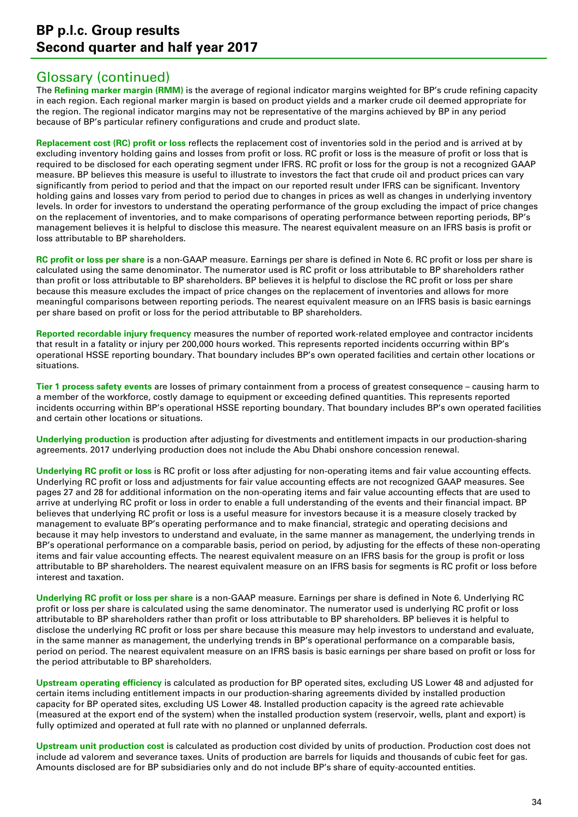### Glossary (continued)

The **Refining marker margin (RMM)** is the average of regional indicator margins weighted for BP's crude refining capacity in each region. Each regional marker margin is based on product yields and a marker crude oil deemed appropriate for the region. The regional indicator margins may not be representative of the margins achieved by BP in any period because of BP's particular refinery configurations and crude and product slate.

**Replacement cost (RC) profit or loss** reflects the replacement cost of inventories sold in the period and is arrived at by excluding inventory holding gains and losses from profit or loss. RC profit or loss is the measure of profit or loss that is required to be disclosed for each operating segment under IFRS. RC profit or loss for the group is not a recognized GAAP measure. BP believes this measure is useful to illustrate to investors the fact that crude oil and product prices can vary significantly from period to period and that the impact on our reported result under IFRS can be significant. Inventory holding gains and losses vary from period to period due to changes in prices as well as changes in underlying inventory levels. In order for investors to understand the operating performance of the group excluding the impact of price changes on the replacement of inventories, and to make comparisons of operating performance between reporting periods, BP's management believes it is helpful to disclose this measure. The nearest equivalent measure on an IFRS basis is profit or loss attributable to BP shareholders.

**RC profit or loss per share** is a non-GAAP measure. Earnings per share is defined in Note 6. RC profit or loss per share is calculated using the same denominator. The numerator used is RC profit or loss attributable to BP shareholders rather than profit or loss attributable to BP shareholders. BP believes it is helpful to disclose the RC profit or loss per share because this measure excludes the impact of price changes on the replacement of inventories and allows for more meaningful comparisons between reporting periods. The nearest equivalent measure on an IFRS basis is basic earnings per share based on profit or loss for the period attributable to BP shareholders.

**Reported recordable injury frequency** measures the number of reported work-related employee and contractor incidents that result in a fatality or injury per 200,000 hours worked. This represents reported incidents occurring within BP's operational HSSE reporting boundary. That boundary includes BP's own operated facilities and certain other locations or situations.

**Tier 1 process safety events** are losses of primary containment from a process of greatest consequence – causing harm to a member of the workforce, costly damage to equipment or exceeding defined quantities. This represents reported incidents occurring within BP's operational HSSE reporting boundary. That boundary includes BP's own operated facilities and certain other locations or situations.

**Underlying production** is production after adjusting for divestments and entitlement impacts in our production-sharing agreements. 2017 underlying production does not include the Abu Dhabi onshore concession renewal.

**Underlying RC profit or loss** is RC profit or loss after adjusting for non-operating items and fair value accounting effects. Underlying RC profit or loss and adjustments for fair value accounting effects are not recognized GAAP measures. See pages 27 and 28 for additional information on the non-operating items and fair value accounting effects that are used to arrive at underlying RC profit or loss in order to enable a full understanding of the events and their financial impact. BP believes that underlying RC profit or loss is a useful measure for investors because it is a measure closely tracked by management to evaluate BP's operating performance and to make financial, strategic and operating decisions and because it may help investors to understand and evaluate, in the same manner as management, the underlying trends in BP's operational performance on a comparable basis, period on period, by adjusting for the effects of these non-operating items and fair value accounting effects. The nearest equivalent measure on an IFRS basis for the group is profit or loss attributable to BP shareholders. The nearest equivalent measure on an IFRS basis for segments is RC profit or loss before interest and taxation.

**Underlying RC profit or loss per share** is a non-GAAP measure. Earnings per share is defined in Note 6. Underlying RC profit or loss per share is calculated using the same denominator. The numerator used is underlying RC profit or loss attributable to BP shareholders rather than profit or loss attributable to BP shareholders. BP believes it is helpful to disclose the underlying RC profit or loss per share because this measure may help investors to understand and evaluate, in the same manner as management, the underlying trends in BP's operational performance on a comparable basis, period on period. The nearest equivalent measure on an IFRS basis is basic earnings per share based on profit or loss for the period attributable to BP shareholders.

**Upstream operating efficiency** is calculated as production for BP operated sites, excluding US Lower 48 and adjusted for certain items including entitlement impacts in our production-sharing agreements divided by installed production capacity for BP operated sites, excluding US Lower 48. Installed production capacity is the agreed rate achievable (measured at the export end of the system) when the installed production system (reservoir, wells, plant and export) is fully optimized and operated at full rate with no planned or unplanned deferrals.

**Upstream unit production cost** is calculated as production cost divided by units of production. Production cost does not include ad valorem and severance taxes. Units of production are barrels for liquids and thousands of cubic feet for gas. Amounts disclosed are for BP subsidiaries only and do not include BP's share of equity-accounted entities.